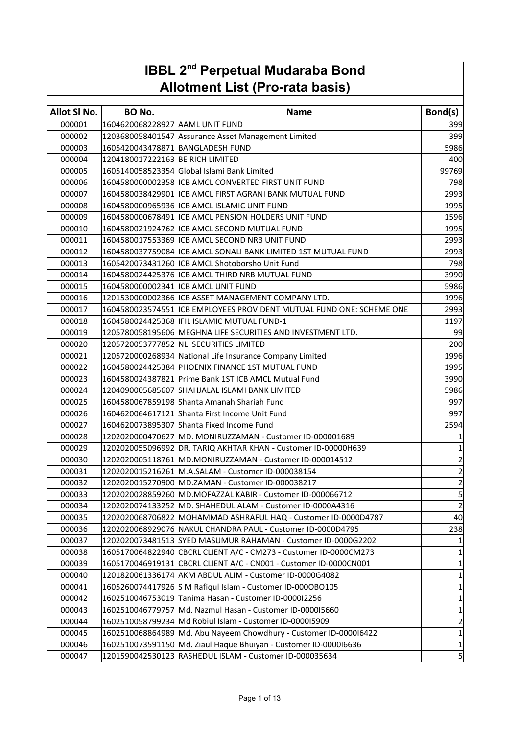| <b>IBBL 2<sup>nd</sup> Perpetual Mudaraba Bond</b> |                                  |                                                                      |                  |
|----------------------------------------------------|----------------------------------|----------------------------------------------------------------------|------------------|
| <b>Allotment List (Pro-rata basis)</b>             |                                  |                                                                      |                  |
| Allot SI No.                                       | <b>BO No.</b>                    |                                                                      |                  |
|                                                    |                                  | <b>Name</b>                                                          | Bond(s)          |
| 000001                                             | 1604620068228927 AAML UNIT FUND  |                                                                      | 399              |
| 000002                                             |                                  | 1203680058401547 Assurance Asset Management Limited                  | 399              |
| 000003                                             | 1605420043478871 BANGLADESH FUND |                                                                      | 5986             |
| 000004                                             | 1204180017222163 BE RICH LIMITED |                                                                      | 400              |
| 000005                                             |                                  | 1605140058523354 Global Islami Bank Limited                          | 99769            |
| 000006                                             |                                  | 1604580000002358 ICB AMCL CONVERTED FIRST UNIT FUND                  | 798              |
| 000007                                             |                                  | 1604580038429901 ICB AMCL FIRST AGRANI BANK MUTUAL FUND              | 2993             |
| 000008                                             |                                  | 1604580000965936 ICB AMCL ISLAMIC UNIT FUND                          | 1995             |
| 000009                                             |                                  | 1604580000678491 ICB AMCL PENSION HOLDERS UNIT FUND                  | 1596             |
| 000010                                             |                                  | 1604580021924762 ICB AMCL SECOND MUTUAL FUND                         | 1995             |
| 000011                                             |                                  | 1604580017553369 ICB AMCL SECOND NRB UNIT FUND                       | 2993             |
| 000012                                             |                                  | 1604580037759084 ICB AMCL SONALI BANK LIMITED 1ST MUTUAL FUND        | 2993             |
| 000013                                             |                                  | 1605420073431260 ICB AMCL Shotoborsho Unit Fund                      | 798              |
| 000014                                             |                                  | 1604580024425376 ICB AMCL THIRD NRB MUTUAL FUND                      | 3990             |
| 000015                                             |                                  | 1604580000002341 ICB AMCL UNIT FUND                                  | 5986             |
| 000016                                             |                                  | 1201530000002366 ICB ASSET MANAGEMENT COMPANY LTD.                   | 1996             |
| 000017                                             |                                  | 1604580023574551 ICB EMPLOYEES PROVIDENT MUTUAL FUND ONE: SCHEME ONE | 2993             |
| 000018                                             |                                  | 1604580024425368   IFIL ISLAMIC MUTUAL FUND-1                        | 1197             |
| 000019                                             |                                  | 1205780058195606 MEGHNA LIFE SECURITIES AND INVESTMENT LTD.          | 99               |
| 000020                                             |                                  | 1205720053777852 NLI SECURITIES LIMITED                              | 200              |
| 000021                                             |                                  | 1205720000268934 National Life Insurance Company Limited             | 1996             |
| 000022                                             |                                  | 1604580024425384 PHOENIX FINANCE 1ST MUTUAL FUND                     | 1995             |
| 000023                                             |                                  | 1604580024387821 Prime Bank 1ST ICB AMCL Mutual Fund                 | 3990             |
| 000024                                             |                                  | 1204090005685607 SHAHJALAL ISLAMI BANK LIMITED                       | 5986             |
| 000025                                             |                                  | 1604580067859198 Shanta Amanah Shariah Fund                          | 997              |
| 000026                                             |                                  | 1604620064617121 Shanta First Income Unit Fund                       | 997              |
| 000027                                             |                                  | 1604620073895307 Shanta Fixed Income Fund                            | 2594             |
| 000028                                             |                                  | 1202020000470627 MD. MONIRUZZAMAN - Customer ID-000001689            | 1                |
| 000029                                             |                                  | 1202020055096992 DR. TARIQ AKHTAR KHAN - Customer ID-00000H639       | $\overline{1}$   |
| 000030                                             |                                  | 1202020005118761 MD.MONIRUZZAMAN - Customer ID-000014512             | $\mathbf{2}$     |
| 000031                                             |                                  | 1202020015216261 M.A.SALAM - Customer ID-000038154                   | $\left  \right $ |
| 000032                                             |                                  | 1202020015270900 MD.ZAMAN - Customer ID-000038217                    | $\overline{2}$   |
| 000033                                             |                                  | 1202020028859260 MD.MOFAZZAL KABIR - Customer ID-000066712           | $\frac{5}{2}$    |
| 000034                                             |                                  | 1202020074133252 MD. SHAHEDUL ALAM - Customer ID-0000A4316           |                  |
| 000035                                             |                                  | 1202020068706822 MOHAMMAD ASHRAFUL HAQ - Customer ID-0000D4787       | 40               |
| 000036                                             |                                  | 1202020068929076 NAKUL CHANDRA PAUL - Customer ID-0000D4795          | 238              |
| 000037                                             |                                  | 1202020073481513 SYED MASUMUR RAHAMAN - Customer ID-0000G2202        | $\mathbf{1}$     |
| 000038                                             |                                  | 1605170064822940 CBCRL CLIENT A/C - CM273 - Customer ID-0000CM273    | $\mathbf{1}$     |
| 000039                                             |                                  | 1605170046919131 CBCRL CLIENT A/C - CN001 - Customer ID-0000CN001    | $\mathbf{1}$     |
| 000040                                             |                                  | 1201820061336174 AKM ABDUL ALIM - Customer ID-0000G4082              | $1\vert$         |
| 000041                                             |                                  | 1605260074417926 S M Rafiqul Islam - Customer ID-000OBO105           | $\mathbf{1}$     |
| 000042                                             |                                  | 1602510046753019 Tanima Hasan - Customer ID-0000I2256                | $\mathbf{1}$     |
| 000043                                             |                                  | 1602510046779757 Md. Nazmul Hasan - Customer ID-0000I5660            | $\mathbf{1}$     |
| 000044                                             |                                  | 1602510058799234 Md Robiul Islam - Customer ID-0000I5909             | $\overline{2}$   |
| 000045                                             |                                  | 1602510068864989 Md. Abu Nayeem Chowdhury - Customer ID-000016422    | $1\vert$         |
| 000046                                             |                                  | 1602510073591150 Md. Ziaul Haque Bhuiyan - Customer ID-000016636     | $1\vert$         |
| 000047                                             |                                  | 1201590042530123 RASHEDUL ISLAM - Customer ID-000035634              | $\vert$          |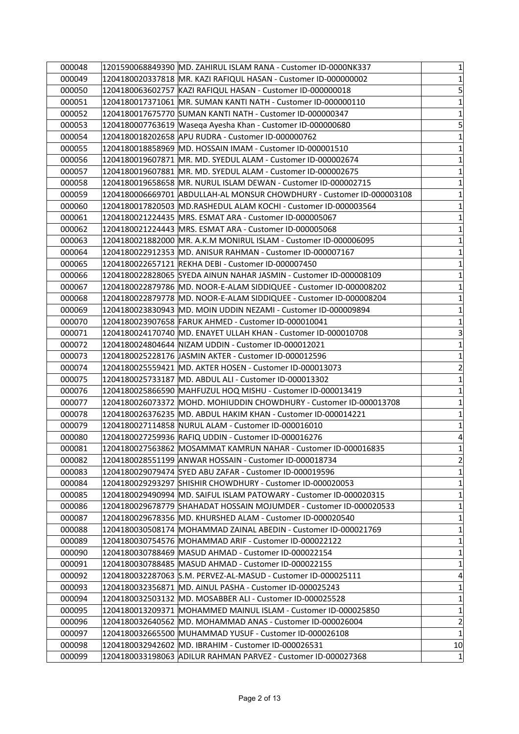| 000048 | 1201590068849390 MD. ZAHIRUL ISLAM RANA - Customer ID-0000NK337   |                                                                       | 1              |
|--------|-------------------------------------------------------------------|-----------------------------------------------------------------------|----------------|
| 000049 | 1204180020337818 MR. KAZI RAFIQUL HASAN - Customer ID-000000002   |                                                                       | 1              |
| 000050 | 1204180063602757 KAZI RAFIQUL HASAN - Customer ID-000000018       |                                                                       | 5              |
| 000051 | 1204180017371061  MR. SUMAN KANTI NATH - Customer ID-000000110    |                                                                       | 1              |
| 000052 | 1204180017675770 SUMAN KANTI NATH - Customer ID-000000347         |                                                                       | $\mathbf 1$    |
| 000053 | 1204180007763619 Waseqa Ayesha Khan - Customer ID-000000680       |                                                                       | 5              |
| 000054 |                                                                   |                                                                       | $\mathbf 1$    |
| 000055 | 1204180018858969 MD. HOSSAIN IMAM - Customer ID-000001510         |                                                                       | $\mathbf 1$    |
| 000056 | 1204180019607871  MR. MD. SYEDUL ALAM - Customer ID-000002674     |                                                                       | $\mathbf 1$    |
| 000057 | 1204180019607881  MR. MD. SYEDUL ALAM - Customer ID-000002675     |                                                                       | $\mathbf 1$    |
| 000058 | 1204180019658658 MR. NURUL ISLAM DEWAN - Customer ID-000002715    |                                                                       | $\mathbf{1}$   |
| 000059 |                                                                   | 1204180006669701 ABDULLAH-AL MONSUR CHOWDHURY - Customer ID-000003108 | $\mathbf 1$    |
| 000060 | 1204180017820503 MD.RASHEDUL ALAM KOCHI - Customer ID-000003564   |                                                                       | $\mathbf 1$    |
| 000061 | 1204180021224435  MRS. ESMAT ARA - Customer ID-000005067          |                                                                       | $\mathbf 1$    |
| 000062 | 1204180021224443  MRS. ESMAT ARA - Customer ID-000005068          |                                                                       | $\mathbf 1$    |
| 000063 | 1204180021882000  MR. A.K.M MONIRUL ISLAM - Customer ID-000006095 |                                                                       | $\mathbf 1$    |
| 000064 | 1204180022912353 MD. ANISUR RAHMAN - Customer ID-000007167        |                                                                       | $\mathbf 1$    |
| 000065 | 1204180022657121 REKHA DEBI - Customer ID-000007450               |                                                                       | $\mathbf{1}$   |
| 000066 |                                                                   |                                                                       | $\mathbf 1$    |
| 000067 |                                                                   | 1204180022879786 MD. NOOR-E-ALAM SIDDIQUEE - Customer ID-000008202    | $\mathbf 1$    |
| 000068 |                                                                   | 1204180022879778  MD. NOOR-E-ALAM SIDDIQUEE - Customer ID-000008204   | $\mathbf 1$    |
| 000069 | 1204180023830943 MD. MOIN UDDIN NEZAMI - Customer ID-000009894    |                                                                       | $\mathbf 1$    |
| 000070 |                                                                   |                                                                       | 1              |
| 000071 | 1204180024170740  MD. ENAYET ULLAH KHAN - Customer ID-000010708   |                                                                       | 3              |
| 000072 | 1204180024804644  NIZAM UDDIN - Customer ID-000012021             |                                                                       | $\mathbf{1}$   |
| 000073 | 1204180025228176 JJASMIN AKTER - Customer ID-000012596            |                                                                       | $\mathbf 1$    |
| 000074 | 1204180025559421 MD. AKTER HOSEN - Customer ID-000013073          |                                                                       | $\overline{c}$ |
| 000075 | 1204180025733187   MD. ABDUL ALI - Customer ID-000013302          |                                                                       | $\mathbf 1$    |
| 000076 | 1204180025866590 MAHFUZUL HOQ MISHU - Customer ID-000013419       |                                                                       | $\mathbf 1$    |
| 000077 |                                                                   | 1204180026073372 MOHD. MOHIUDDIN CHOWDHURY - Customer ID-000013708    | $\mathbf 1$    |
| 000078 | 1204180026376235  MD. ABDUL HAKIM KHAN - Customer ID-000014221    |                                                                       | $\mathbf 1$    |
| 000079 | 1204180027114858 NURUL ALAM - Customer ID-000016010               |                                                                       | $\mathbf{1}$   |
| 000080 | 1204180027259936 RAFIQ UDDIN - Customer ID-000016276              |                                                                       | 4              |
| 000081 |                                                                   | 1204180027563862 MOSAMMAT KAMRUN NAHAR - Customer ID-000016835        | $\mathbf{1}$   |
| 000082 | 1204180028551199 ANWAR HOSSAIN - Customer ID-000018734            |                                                                       | $\overline{2}$ |
| 000083 | 1204180029079474 SYED ABU ZAFAR - Customer ID-000019596           |                                                                       | 1              |
| 000084 | 1204180029293297 SHISHIR CHOWDHURY - Customer ID-000020053        |                                                                       | $\mathbf{1}$   |
| 000085 |                                                                   | 1204180029490994  MD. SAIFUL ISLAM PATOWARY - Customer ID-000020315   | $\mathbf 1$    |
| 000086 |                                                                   | 1204180029678779 SHAHADAT HOSSAIN MOJUMDER - Customer ID-000020533    | $\mathbf{1}$   |
| 000087 | 1204180029678356  MD. KHURSHED ALAM - Customer ID-000020540       |                                                                       | 1              |
| 000088 |                                                                   | 1204180030508174 MOHAMMAD ZAINAL ABEDIN - Customer ID-000021769       | $\mathbf 1$    |
| 000089 | 1204180030754576 MOHAMMAD ARIF - Customer ID-000022122            |                                                                       | 1              |
| 000090 | 1204180030788469 MASUD AHMAD - Customer ID-000022154              |                                                                       | $\mathbf 1$    |
| 000091 | 1204180030788485  MASUD AHMAD - Customer ID-000022155             |                                                                       | $\mathbf 1$    |
| 000092 |                                                                   |                                                                       | 4              |
| 000093 | 1204180032356871 MD. AINUL PASHA - Customer ID-000025243          |                                                                       | 1              |
| 000094 | 1204180032503132  MD. MOSABBER ALI - Customer ID-000025528        |                                                                       | 1              |
| 000095 |                                                                   | 1204180013209371 MOHAMMED MAINUL ISLAM - Customer ID-000025850        | $\mathbf 1$    |
| 000096 | 1204180032640562 MD. MOHAMMAD ANAS - Customer ID-000026004        |                                                                       | $\overline{2}$ |
| 000097 | 1204180032665500 MUHAMMAD YUSUF - Customer ID-000026108           |                                                                       | $\mathbf 1$    |
| 000098 | 1204180032942602 MD. IBRAHIM - Customer ID-000026531              |                                                                       | 10             |
| 000099 | 1204180033198063 ADILUR RAHMAN PARVEZ - Customer ID-000027368     |                                                                       | 1              |
|        |                                                                   |                                                                       |                |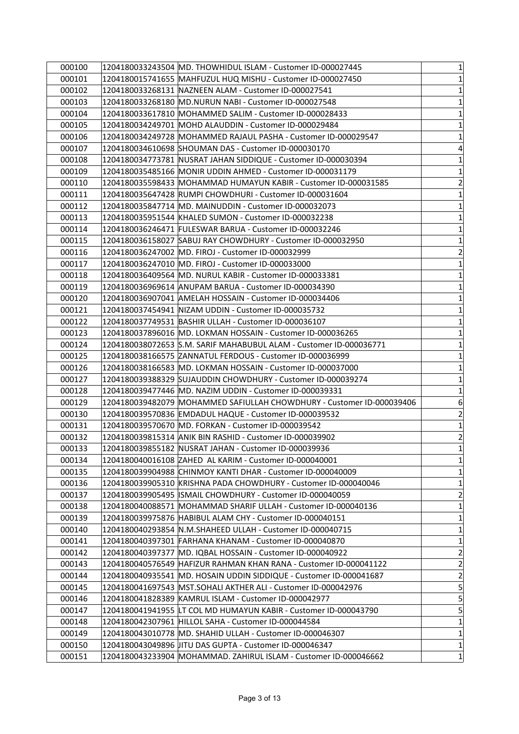| 000100 | 1204180033243504  MD. THOWHIDUL ISLAM - Customer ID-000027445         | $\mathbf{1}$            |
|--------|-----------------------------------------------------------------------|-------------------------|
| 000101 | 1204180015741655 MAHFUZUL HUQ MISHU - Customer ID-000027450           | 1                       |
| 000102 | 1204180033268131 NAZNEEN ALAM - Customer ID-000027541                 | $\mathbf 1$             |
| 000103 | 1204180033268180  MD.NURUN NABI - Customer ID-000027548               | 1                       |
| 000104 | 1204180033617810  MOHAMMED SALIM - Customer ID-000028433              | $\mathbf 1$             |
| 000105 | 1204180034249701 MOHD ALAUDDIN - Customer ID-000029484                | $\mathbf 1$             |
| 000106 |                                                                       | $\mathbf 1$             |
| 000107 | 1204180034610698 SHOUMAN DAS - Customer ID-000030170                  | 4                       |
| 000108 |                                                                       | $\mathbf 1$             |
| 000109 | 1204180035485166  MONIR UDDIN AHMED - Customer ID-000031179           | $\mathbf 1$             |
| 000110 | 1204180035598433 MOHAMMAD HUMAYUN KABIR - Customer ID-000031585       | $\overline{2}$          |
| 000111 | 1204180035647428 RUMPI CHOWDHURI - Customer ID-000031604              | $\mathbf 1$             |
| 000112 | 1204180035847714 MD. MAINUDDIN - Customer ID-000032073                | $\mathbf 1$             |
| 000113 |                                                                       | $\mathbf 1$             |
| 000114 | 1204180036246471 FULESWAR BARUA - Customer ID-000032246               | $\mathbf 1$             |
| 000115 |                                                                       | $\mathbf 1$             |
| 000116 | 1204180036247002 MD. FIROJ - Customer ID-000032999                    | $\overline{\mathbf{c}}$ |
| 000117 | 1204180036247010 MD. FIROJ - Customer ID-000033000                    | $\mathbf{1}$            |
| 000118 | 1204180036409564  MD. NURUL KABIR - Customer ID-000033381             | $\mathbf 1$             |
| 000119 | 1204180036969614 ANUPAM BARUA - Customer ID-000034390                 | $\mathbf 1$             |
| 000120 | 1204180036907041  AMELAH HOSSAIN - Customer ID-000034406              | $\mathbf 1$             |
| 000121 | 1204180037454941 NIZAM UDDIN - Customer ID-000035732                  | $\mathbf 1$             |
| 000122 | 1204180037749531  BASHIR ULLAH - Customer ID-000036107                | 1                       |
| 000123 | 1204180037896016  MD. LOKMAN HOSSAIN - Customer ID-000036265          | $\mathbf 1$             |
| 000124 | 1204180038072653 S.M. SARIF MAHABUBUL ALAM - Customer ID-000036771    | $\mathbf 1$             |
| 000125 | 1204180038166575 ZANNATUL FERDOUS - Customer ID-000036999             | $\mathbf 1$             |
| 000126 | 1204180038166583  MD. LOKMAN HOSSAIN - Customer ID-000037000          | $\mathbf 1$             |
| 000127 | 1204180039388329 SUJAUDDIN CHOWDHURY - Customer ID-000039274          | $\mathbf 1$             |
| 000128 | 1204180039477446  MD. NAZIM UDDIN - Customer ID-000039331             | $\mathbf 1$             |
| 000129 | 1204180039482079 MOHAMMED SAFIULLAH CHOWDHURY - Customer ID-000039406 | 6                       |
| 000130 |                                                                       | $\overline{2}$          |
| 000131 | 1204180039570670 MD. FORKAN - Customer ID-000039542                   | $\mathbf 1$             |
| 000132 | 1204180039815314 ANIK BIN RASHID - Customer ID-000039902              | $\overline{\mathbf{c}}$ |
| 000133 | 1204180039855182 NUSRAT JAHAN - Customer ID-000039936                 | $\mathbf{1}$            |
| 000134 | 1204180040016108 ZAHED AL KARIM - Customer ID-000040001               | 1                       |
| 000135 | 1204180039904988 CHINMOY KANTI DHAR - Customer ID-000040009           | 1                       |
| 000136 | 1204180039905310 KRISHNA PADA CHOWDHURY - Customer ID-000040046       | $\mathbf{1}$            |
| 000137 | 1204180039905495  ISMAIL CHOWDHURY - Customer ID-000040059            | $\overline{2}$          |
| 000138 | 1204180040088571 MOHAMMAD SHARIF ULLAH - Customer ID-000040136        | $\mathbf 1$             |
| 000139 | 1204180039975876  HABIBUL ALAM CHY - Customer ID-000040151            | $\mathbf 1$             |
| 000140 | 1204180040293854 N.M.SHAHEED ULLAH - Customer ID-000040715            | $\mathbf 1$             |
| 000141 | 1204180040397301  FARHANA KHANAM - Customer ID-000040870              | 1                       |
| 000142 | 1204180040397377  MD. IQBAL HOSSAIN - Customer ID-000040922           | $\overline{2}$          |
| 000143 |                                                                       | $\overline{2}$          |
| 000144 | 1204180040935541  MD. HOSAIN UDDIN SIDDIQUE - Customer ID-000041687   | $\overline{2}$          |
| 000145 | 1204180041697543  MST.SOHALI AKTHER ALI - Customer ID-000042976       | 5                       |
| 000146 |                                                                       | 5                       |
| 000147 | 1204180041941955 LT COL MD HUMAYUN KABIR - Customer ID-000043790      | 5                       |
| 000148 | 1204180042307961  HILLOL SAHA - Customer ID-000044584                 | $\mathbf{1}$            |
| 000149 | 1204180043010778  MD. SHAHID ULLAH - Customer ID-000046307            | $\mathbf 1$             |
| 000150 | 1204180043049896 JJITU DAS GUPTA - Customer ID-000046347              | 1                       |
| 000151 | 1204180043233904 MOHAMMAD. ZAHIRUL ISLAM - Customer ID-000046662      | $\mathbf{1}$            |
|        |                                                                       |                         |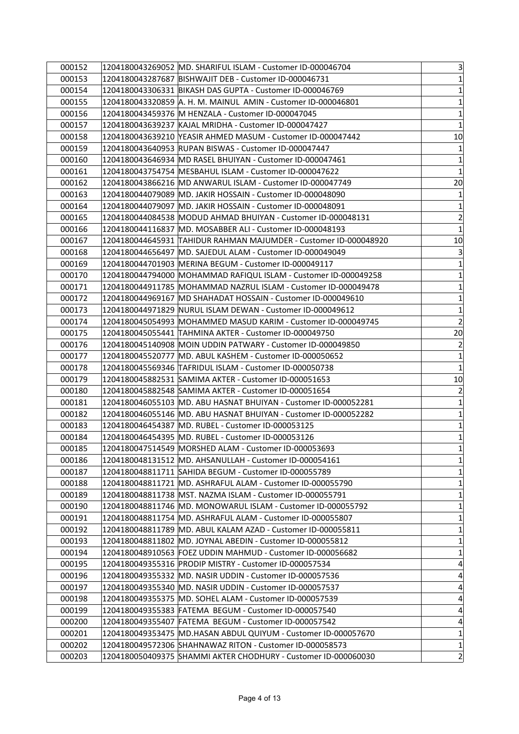| 000152 | 1204180043269052 MD. SHARIFUL ISLAM - Customer ID-000046704      | $\mathbf{3}$                |
|--------|------------------------------------------------------------------|-----------------------------|
| 000153 | 1204180043287687  BISHWAJIT DEB - Customer ID-000046731          | $\mathbf{1}$                |
| 000154 | 1204180043306331 BIKASH DAS GUPTA - Customer ID-000046769        | $\mathbf{1}$                |
| 000155 | 1204180043320859  A. H. M. MAINUL  AMIN - Customer ID-000046801  | $1\vert$                    |
| 000156 | 1204180043459376  M HENZALA - Customer ID-000047045              | $\mathbf{1}$                |
| 000157 |                                                                  | $\mathbf{1}$                |
| 000158 |                                                                  | 10                          |
| 000159 | 1204180043640953 RUPAN BISWAS - Customer ID-000047447            | $1\vert$                    |
| 000160 | 1204180043646934  MD RASEL BHUIYAN - Customer ID-000047461       | $1\vert$                    |
| 000161 | 1204180043754754   MESBAHUL ISLAM - Customer ID-000047622        | $1\vert$                    |
| 000162 | 1204180043866216  MD ANWARUL ISLAM - Customer ID-000047749       | 20                          |
| 000163 | 1204180044079089  MD. JAKIR HOSSAIN - Customer ID-000048090      | $1\vert$                    |
| 000164 | 1204180044079097  MD. JAKIR HOSSAIN - Customer ID-000048091      | $1\vert$                    |
| 000165 | 1204180044084538 MODUD AHMAD BHUIYAN - Customer ID-000048131     | $\vert 2 \vert$             |
| 000166 | 1204180044116837  MD. MOSABBER ALI - Customer ID-000048193       | $\mathbf 1$                 |
| 000167 |                                                                  | 10                          |
| 000168 | 1204180044656497  MD. SAJEDUL ALAM - Customer ID-000049049       | $\overline{3}$              |
| 000169 | 1204180044701903 MERINA BEGUM - Customer ID-000049117            | $1\vert$                    |
| 000170 | 1204180044794000 MOHAMMAD RAFIQUL ISLAM - Customer ID-000049258  | $1\vert$                    |
| 000171 | 1204180044911785  MOHAMMAD NAZRUL ISLAM - Customer ID-000049478  | $\mathbf{1}$                |
| 000172 | 1204180044969167  MD SHAHADAT HOSSAIN - Customer ID-000049610    | $\mathbf{1}$                |
| 000173 | 1204180044971829 NURUL ISLAM DEWAN - Customer ID-000049612       | $\mathbf{1}$                |
| 000174 | 1204180045054993  MOHAMMED MASUD KARIM - Customer ID-000049745   | $\vert$ 2                   |
| 000175 | 1204180045055441  TAHMINA AKTER - Customer ID-000049750          | 20                          |
| 000176 | 1204180045140908 MOIN UDDIN PATWARY - Customer ID-000049850      | $\overline{2}$              |
| 000177 | 1204180045520777  MD. ABUL KASHEM - Customer ID-000050652        | $\mathbf{1}$                |
| 000178 | 1204180045569346 TAFRIDUL ISLAM - Customer ID-000050738          | $\mathbf{1}$                |
| 000179 | 1204180045882531 SAMIMA AKTER - Customer ID-000051653            | 10 <sub>l</sub>             |
| 000180 | 1204180045882548 SAMIMA AKTER - Customer ID-000051654            | $\overline{2}$              |
| 000181 | 1204180046055103  MD. ABU HASNAT BHUIYAN - Customer ID-000052281 | $\mathbf{1}$                |
| 000182 | 1204180046055146  MD. ABU HASNAT BHUIYAN - Customer ID-000052282 | $\mathbf{1}$                |
| 000183 | 1204180046454387 MD. RUBEL - Customer ID-000053125               | $1\vert$                    |
| 000184 | 1204180046454395 MD. RUBEL - Customer ID-000053126               | $\mathbf{1}$                |
| 000185 | 1204180047514549 MORSHED ALAM - Customer ID-000053693            | $1\overline{ }$             |
| 000186 | 1204180048131512 MD. AHSANULLAH - Customer ID-000054161          | 1                           |
| 000187 | 1204180048811711 SAHIDA BEGUM - Customer ID-000055789            | $\mathbf{1}$                |
| 000188 | 1204180048811721 MD. ASHRAFUL ALAM - Customer ID-000055790       | $1\vert$                    |
| 000189 | 1204180048811738   MST. NAZMA ISLAM - Customer ID-000055791      | $1\vert$                    |
| 000190 | 1204180048811746 MD. MONOWARUL ISLAM - Customer ID-000055792     | $\mathbf{1}$                |
| 000191 | 1204180048811754 MD. ASHRAFUL ALAM - Customer ID-000055807       | $\mathbf{1}$                |
| 000192 | 1204180048811789 MD. ABUL KALAM AZAD - Customer ID-000055811     | $\mathbf{1}$                |
| 000193 | 1204180048811802 MD. JOYNAL ABEDIN - Customer ID-000055812       | $1\vert$                    |
| 000194 | 1204180048910563 FOEZ UDDIN MAHMUD - Customer ID-000056682       | $1\vert$                    |
| 000195 | 1204180049355316 PRODIP MISTRY - Customer ID-000057534           | $\overline{4}$              |
| 000196 | 1204180049355332 MD. NASIR UDDIN - Customer ID-000057536         | 4                           |
| 000197 | 1204180049355340 MD. NASIR UDDIN - Customer ID-000057537         | $\overline{4}$              |
| 000198 | 1204180049355375  MD. SOHEL ALAM - Customer ID-000057539         | $\vert 4 \vert$             |
| 000199 | 1204180049355383 FATEMA BEGUM - Customer ID-000057540            | $\overline{4}$              |
| 000200 | 1204180049355407 FATEMA BEGUM - Customer ID-000057542            | 4                           |
| 000201 | 1204180049353475  MD.HASAN ABDUL QUIYUM - Customer ID-000057670  | $\mathbf{1}$                |
| 000202 | 1204180049572306 SHAHNAWAZ RITON - Customer ID-000058573         | $1\vert$                    |
| 000203 | 1204180050409375 SHAMMI AKTER CHODHURY - Customer ID-000060030   | $\left  \mathbf{2} \right $ |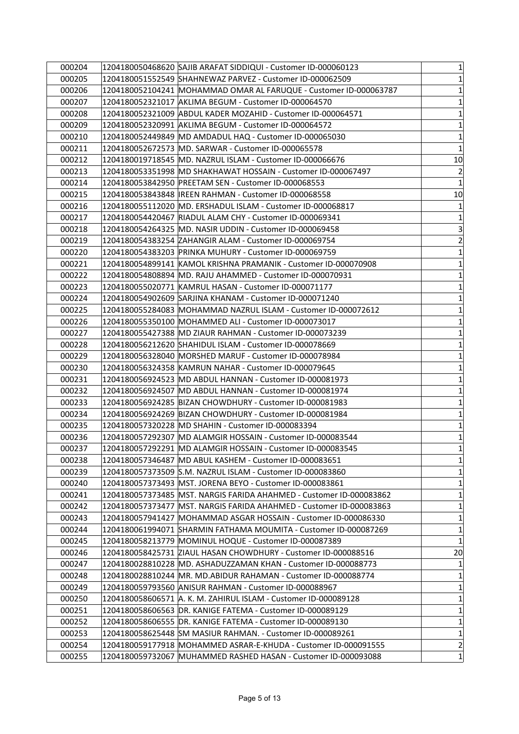| 000204 | 1204180050468620 SAJIB ARAFAT SIDDIQUI - Customer ID-000060123        | $\mathbf{1}$            |
|--------|-----------------------------------------------------------------------|-------------------------|
| 000205 |                                                                       | 1                       |
| 000206 | 1204180052104241 MOHAMMAD OMAR AL FARUQUE - Customer ID-000063787     | $\mathbf 1$             |
| 000207 | 1204180052321017  AKLIMA BEGUM - Customer ID-000064570                | 1                       |
| 000208 | 1204180052321009 ABDUL KADER MOZAHID - Customer ID-000064571          | $\mathbf 1$             |
| 000209 |                                                                       | $\mathbf 1$             |
| 000210 | 1204180052449849  MD AMDADUL HAQ - Customer ID-000065030              | $\mathbf 1$             |
| 000211 | 1204180052672573 MD. SARWAR - Customer ID-000065578                   | $\mathbf 1$             |
| 000212 | 1204180019718545  MD. NAZRUL ISLAM - Customer ID-000066676            | 10                      |
| 000213 |                                                                       | $\overline{2}$          |
| 000214 |                                                                       | $\mathbf{1}$            |
| 000215 |                                                                       | 10                      |
| 000216 | 1204180055112020 MD. ERSHADUL ISLAM - Customer ID-000068817           | $\mathbf 1$             |
| 000217 |                                                                       | $\mathbf 1$             |
| 000218 | 1204180054264325 MD. NASIR UDDIN - Customer ID-000069458              | 3                       |
| 000219 |                                                                       | $\overline{\mathbf{c}}$ |
| 000220 | 1204180054383203 PRINKA MUHURY - Customer ID-000069759                | $\mathbf 1$             |
| 000221 | 1204180054899141  KAMOL KRISHNA PRAMANIK - Customer ID-000070908      | $\mathbf{1}$            |
| 000222 | 1204180054808894 MD. RAJU AHAMMED - Customer ID-000070931             | $\mathbf 1$             |
| 000223 | 1204180055020771 KAMRUL HASAN - Customer ID-000071177                 | $\mathbf 1$             |
| 000224 |                                                                       | $\mathbf 1$             |
| 000225 | 1204180055284083 MOHAMMAD NAZRUL ISLAM - Customer ID-000072612        | $\mathbf 1$             |
| 000226 | 1204180055350100  MOHAMMED ALI - Customer ID-000073017                | 1                       |
| 000227 | 1204180055427388 MD ZIAUR RAHMAN - Customer ID-000073239              | $\mathbf 1$             |
| 000228 | 1204180056212620 SHAHIDUL ISLAM - Customer ID-000078669               | $\mathbf 1$             |
| 000229 | 1204180056328040  MORSHED MARUF - Customer ID-000078984               | $\mathbf 1$             |
| 000230 | 1204180056324358  KAMRUN NAHAR - Customer ID-000079645                | $\mathbf 1$             |
| 000231 | 1204180056924523 MD ABDUL HANNAN - Customer ID-000081973              | $\mathbf 1$             |
| 000232 | 1204180056924507  MD ABDUL HANNAN - Customer ID-000081974             | $\mathbf 1$             |
| 000233 | 1204180056924285 BIZAN CHOWDHURY - Customer ID-000081983              | $\mathbf 1$             |
| 000234 |                                                                       | $\mathbf 1$             |
| 000235 | 1204180057320228 MD SHAHIN - Customer ID-000083394                    | 1                       |
| 000236 | 1204180057292307 MD ALAMGIR HOSSAIN - Customer ID-000083544           | $\mathbf 1$             |
| 000237 | 1204180057292291 MD ALAMGIR HOSSAIN - Customer ID-000083545           | $\mathbf{1}$            |
| 000238 | 1204180057346487  MD ABUL KASHEM - Customer ID-000083651              | 1                       |
| 000239 | 1204180057373509 S.M. NAZRUL ISLAM - Customer ID-000083860            | 1                       |
| 000240 | 1204180057373493 MST. JORENA BEYO - Customer ID-000083861             | $\mathbf{1}$            |
| 000241 | 1204180057373485  MST. NARGIS FARIDA AHAHMED - Customer ID-000083862  | $\mathbf 1$             |
| 000242 | 1204180057373477   MST. NARGIS FARIDA AHAHMED - Customer ID-000083863 | $\mathbf 1$             |
| 000243 | 1204180057941427  MOHAMMAD ASGAR HOSSAIN - Customer ID-000086330      | $\mathbf 1$             |
| 000244 | 1204180061994071 SHARMIN FATHAMA MOUMITA - Customer ID-000087269      | $\mathbf 1$             |
| 000245 | 1204180058213779 MOMINUL HOQUE - Customer ID-000087389                | 1                       |
| 000246 | 1204180058425731 ZIAUL HASAN CHOWDHURY - Customer ID-000088516        | 20                      |
| 000247 | 1204180028810228 MD. ASHADUZZAMAN KHAN - Customer ID-000088773        | $\mathbf{1}$            |
| 000248 | 1204180028810244  MR. MD.ABIDUR RAHAMAN - Customer ID-000088774       | $\mathbf{1}$            |
| 000249 | 1204180059793560 ANISUR RAHMAN - Customer ID-000088967                | 1                       |
| 000250 | 1204180058606571  A. K. M. ZAHIRUL ISLAM - Customer ID-000089128      | 1                       |
| 000251 |                                                                       | $\mathbf 1$             |
| 000252 | 1204180058606555 DR. KANIGE FATEMA - Customer ID-000089130            | $\mathbf 1$             |
| 000253 | 1204180058625448  SM MASIUR RAHMAN. - Customer ID-000089261           | $\mathbf 1$             |
| 000254 | 1204180059177918 MOHAMMED ASRAR-E-KHUDA - Customer ID-000091555       | $\overline{2}$          |
| 000255 | 1204180059732067  MUHAMMED RASHED HASAN - Customer ID-000093088       | 1                       |
|        |                                                                       |                         |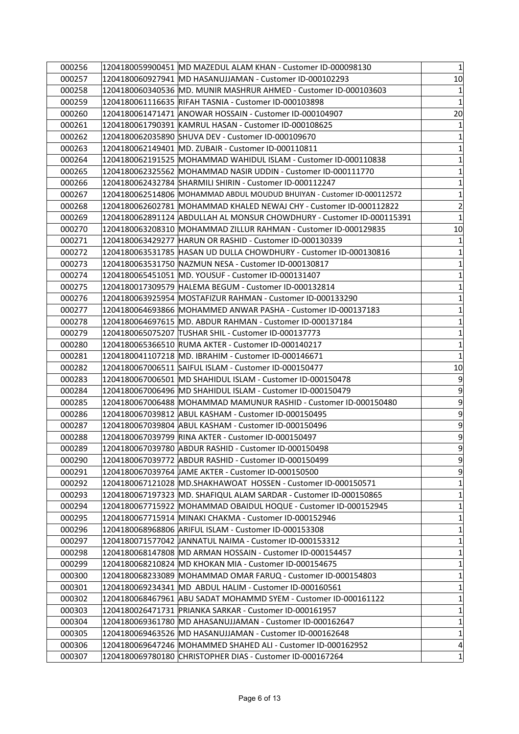| 000256 | 1204180059900451 MD MAZEDUL ALAM KHAN - Customer ID-000098130                                                             | $1\vert$                 |
|--------|---------------------------------------------------------------------------------------------------------------------------|--------------------------|
| 000257 | 1204180060927941  MD HASANUJJAMAN - Customer ID-000102293                                                                 | 10 <sub>l</sub>          |
| 000258 | 1204180060340536 MD. MUNIR MASHRUR AHMED - Customer ID-000103603                                                          | $\mathbf{1}$             |
| 000259 |                                                                                                                           | $1\vert$                 |
| 000260 | 1204180061471471 ANOWAR HOSSAIN - Customer ID-000104907                                                                   | 20                       |
| 000261 |                                                                                                                           | 1                        |
| 000262 |                                                                                                                           | $\mathbf{1}$             |
| 000263 | 1204180062149401   MD. ZUBAIR - Customer ID-000110811                                                                     | $\mathbf{1}$             |
| 000264 | 1204180062191525  MOHAMMAD WAHIDUL ISLAM - Customer ID-000110838                                                          | $1\vert$                 |
| 000265 | 1204180062325562  MOHAMMAD NASIR UDDIN - Customer ID-000111770                                                            | $1\vert$                 |
| 000266 | 1204180062432784 SHARMILI SHIRIN - Customer ID-000112247                                                                  | $\mathbf{1}$             |
| 000267 | 1204180062514806 MOHAMMAD ABDUL MOUDUD BHUIYAN - Customer ID-000112572                                                    | $\mathbf{1}$             |
| 000268 | 1204180062602781  MOHAMMAD KHALED NEWAJ CHY - Customer ID-000112822                                                       | $\overline{2}$           |
| 000269 | 1204180062891124  ABDULLAH AL MONSUR CHOWDHURY - Customer ID-000115391                                                    | $1\vert$                 |
| 000270 | 1204180063208310  MOHAMMAD ZILLUR RAHMAN - Customer ID-000129835                                                          | 10                       |
| 000271 |                                                                                                                           | $\mathbf{1}$             |
| 000272 | 1204180063531785                                  HASAN UD DULLA CHOWDHURY - Customer ID-000130816                        | $\mathbf{1}$             |
| 000273 | 1204180063531750 NAZMUN NESA - Customer ID-000130817                                                                      | $1\vert$                 |
| 000274 | 1204180065451051  MD. YOUSUF - Customer ID-000131407                                                                      | $1\vert$                 |
| 000275 |                                                                                                                           | $\mathbf{1}$             |
| 000276 | 1204180063925954  MOSTAFIZUR RAHMAN - Customer ID-000133290                                                               | $\mathbf{1}$             |
| 000277 | 1204180064693866 MOHAMMED ANWAR PASHA - Customer ID-000137183                                                             | $\mathbf{1}$             |
| 000278 | 1204180064697615  MD. ABDUR RAHMAN - Customer ID-000137184                                                                | $1\vert$                 |
| 000279 | 1204180065075207  TUSHAR SHIL - Customer ID-000137773                                                                     | $\mathbf{1}$             |
| 000280 | 1204180065366510 RUMA AKTER - Customer ID-000140217                                                                       | 1                        |
| 000281 | 1204180041107218  MD. IBRAHIM - Customer ID-000146671                                                                     | $\mathbf{1}$             |
|        |                                                                                                                           |                          |
| 000282 | 1204180067006511 SAIFUL ISLAM - Customer ID-000150477                                                                     | 10                       |
| 000283 | 1204180067006501 MD SHAHIDUL ISLAM - Customer ID-000150478                                                                | 9                        |
| 000284 | 1204180067006496  MD SHAHIDUL ISLAM - Customer ID-000150479                                                               | $\overline{9}$           |
| 000285 | 1204180067006488  MOHAMMAD MAMUNUR RASHID - Customer ID-000150480                                                         | 9                        |
| 000286 |                                                                                                                           |                          |
| 000287 | 1204180067039804 ABUL KASHAM - Customer ID-000150496                                                                      |                          |
| 000288 | 1204180067039799 RINA AKTER - Customer ID-000150497                                                                       | 9<br>9<br>$\overline{9}$ |
| 000289 | 1204180067039780 ABDUR RASHID - Customer ID-000150498                                                                     | $\overline{9}$           |
| 000290 | 1204180067039772 ABDUR RASHID - Customer ID-000150499                                                                     | $\overline{9}$           |
| 000291 | 1204180067039764 JAME AKTER - Customer ID-000150500                                                                       | $\overline{9}$           |
| 000292 | 1204180067121028 MD.SHAKHAWOAT HOSSEN - Customer ID-000150571                                                             | $\mathbf{1}$             |
| 000293 | 1204180067197323 MD. SHAFIQUL ALAM SARDAR - Customer ID-000150865                                                         | $1\vert$                 |
| 000294 | 1204180067715922 MOHAMMAD OBAIDUL HOQUE - Customer ID-000152945                                                           | $\mathbf{1}$             |
| 000295 | 1204180067715914 MINAKI CHAKMA - Customer ID-000152946                                                                    | $\mathbf{1}$             |
| 000296 | 1204180068968806 ARIFUL ISLAM - Customer ID-000153308                                                                     | $\mathbf{1}$             |
| 000297 |                                                                                                                           | $1\vert$                 |
| 000298 | 1204180068147808 MD ARMAN HOSSAIN - Customer ID-000154457                                                                 | $1\vert$                 |
| 000299 | 1204180068210824 MD KHOKAN MIA - Customer ID-000154675                                                                    | $\mathbf{1}$             |
| 000300 | 1204180068233089 MOHAMMAD OMAR FARUQ - Customer ID-000154803                                                              | $\mathbf{1}$             |
| 000301 | 1204180069234341 MD ABDUL HALIM - Customer ID-000160561                                                                   | $\mathbf{1}$             |
| 000302 | 1204180068467961  ABU SADAT MOHAMMD SYEM - Customer ID-000161122                                                          | $1\vert$                 |
| 000303 | 1204180026471731 PRIANKA SARKAR - Customer ID-000161957                                                                   | $1\vert$                 |
| 000304 | 1204180069361780 MD AHASANUJJAMAN - Customer ID-000162647                                                                 | $\mathbf{1}$             |
| 000305 | 1204180069463526  MD HASANUJJAMAN - Customer ID-000162648                                                                 | $\mathbf{1}$             |
| 000306 | 1204180069647246 MOHAMMED SHAHED ALI - Customer ID-000162952<br>1204180069780180 CHRISTOPHER DIAS - Customer ID-000167264 | $\vert 4 \vert$          |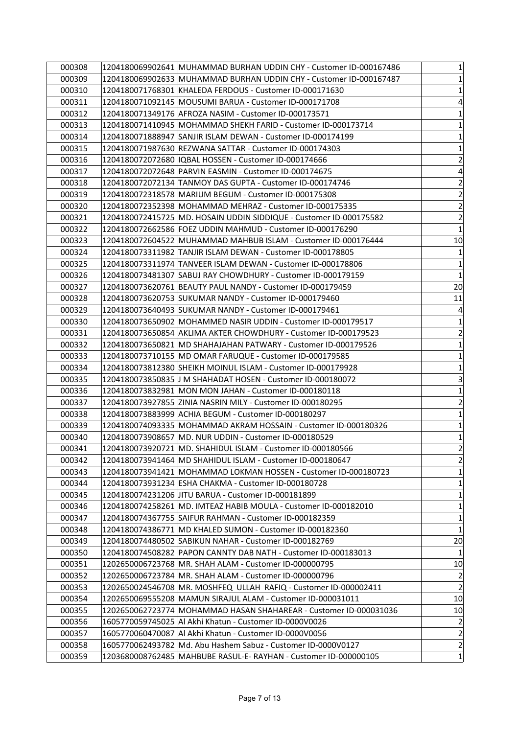| 000308 | 1204180069902641 MUHAMMAD BURHAN UDDIN CHY - Customer ID-000167486  | $\mathbf{1}$    |
|--------|---------------------------------------------------------------------|-----------------|
| 000309 | 1204180069902633 MUHAMMAD BURHAN UDDIN CHY - Customer ID-000167487  | $\mathbf{1}$    |
| 000310 | 1204180071768301 KHALEDA FERDOUS - Customer ID-000171630            | $\mathbf{1}$    |
| 000311 | 1204180071092145 MOUSUMI BARUA - Customer ID-000171708              | $\vert 4 \vert$ |
| 000312 | 1204180071349176 AFROZA NASIM - Customer ID-000173571               | $\mathbf{1}$    |
| 000313 | 1204180071410945 MOHAMMAD SHEKH FARID - Customer ID-000173714       | $\mathbf{1}$    |
| 000314 | 1204180071888947 SANJIR ISLAM DEWAN - Customer ID-000174199         | $\mathbf{1}$    |
| 000315 | 1204180071987630 REZWANA SATTAR - Customer ID-000174303             | $\mathbf{1}$    |
| 000316 | 1204180072072680   IQBAL HOSSEN - Customer ID-000174666             | $\overline{2}$  |
| 000317 |                                                                     | $\vert 4 \vert$ |
| 000318 | 1204180072072134 TANMOY DAS GUPTA - Customer ID-000174746           | $\overline{2}$  |
| 000319 |                                                                     | $\mathbf{2}$    |
| 000320 | 1204180072352398  MOHAMMAD MEHRAZ - Customer ID-000175335           | $\overline{2}$  |
| 000321 | 1204180072415725  MD. HOSAIN UDDIN SIDDIQUE - Customer ID-000175582 | $\mathbf{2}$    |
| 000322 |                                                                     | $\mathbf{1}$    |
| 000323 | 1204180072604522 MUHAMMAD MAHBUB ISLAM - Customer ID-000176444      | 10              |
| 000324 | 1204180073311982 TANJIR ISLAM DEWAN - Customer ID-000178805         | $\mathbf{1}$    |
| 000325 | 1204180073311974 TANVEER ISLAM DEWAN - Customer ID-000178806        | $\mathbf{1}$    |
| 000326 |                                                                     | $\mathbf{1}$    |
| 000327 | 1204180073620761 BEAUTY PAUL NANDY - Customer ID-000179459          | 20              |
| 000328 | 1204180073620753 SUKUMAR NANDY - Customer ID-000179460              | 11              |
| 000329 | 1204180073640493 SUKUMAR NANDY - Customer ID-000179461              | $\overline{4}$  |
| 000330 | 1204180073650902 MOHAMMED NASIR UDDIN - Customer ID-000179517       | $\mathbf{1}$    |
| 000331 | 1204180073650854 AKLIMA AKTER CHOWDHURY - Customer ID-000179523     | $\mathbf{2}$    |
| 000332 | 1204180073650821  MD SHAHAJAHAN PATWARY - Customer ID-000179526     | $\mathbf{1}$    |
| 000333 | 1204180073710155 MD OMAR FARUQUE - Customer ID-000179585            | $\mathbf{1}$    |
| 000334 | 1204180073812380 SHEIKH MOINUL ISLAM - Customer ID-000179928        | $\mathbf{1}$    |
| 000335 | 1204180073850835 JJ M SHAHADAT HOSEN - Customer ID-000180072        | $\mathbf{3}$    |
| 000336 | 1204180073832981 MON MON JAHAN - Customer ID-000180118              | $\mathbf{1}$    |
| 000337 | 1204180073927855 ZINIA NASRIN MILY - Customer ID-000180295          | $\overline{2}$  |
| 000338 |                                                                     | $\mathbf{1}$    |
| 000339 | 1204180074093335 MOHAMMAD AKRAM HOSSAIN - Customer ID-000180326     | $\mathbf{1}$    |
| 000340 | 1204180073908657 MD. NUR UDDIN - Customer ID-000180529              | $\mathbf{1}$    |
| 000341 | 1204180073920721 MD. SHAHIDUL ISLAM - Customer ID-000180566         | $\overline{2}$  |
| 000342 | 1204180073941464  MD SHAHIDUL ISLAM - Customer ID-000180647         | $\overline{2}$  |
| 000343 |                                                                     | $\mathbf{1}$    |
| 000344 | 1204180073931234 ESHA CHAKMA - Customer ID-000180728                | $\mathbf{1}$    |
| 000345 | 1204180074231206 JITU BARUA - Customer ID-000181899                 | $\mathbf{1}$    |
| 000346 | 1204180074258261 MD. IMTEAZ HABIB MOULA - Customer ID-000182010     | $\mathbf{1}$    |
| 000347 | 1204180074367755 SAIFUR RAHMAN - Customer ID-000182359              | $\mathbf{1}$    |
| 000348 | 1204180074386771  MD KHALED SUMON - Customer ID-000182360           | $\mathbf{1}$    |
| 000349 | 1204180074480502 SABIKUN NAHAR - Customer ID-000182769              | 20              |
| 000350 | 1204180074508282 PAPON CANNTY DAB NATH - Customer ID-000183013      | $\mathbf{1}$    |
| 000351 | 1202650006723768  MR. SHAH ALAM - Customer ID-000000795             | 10              |
| 000352 | 1202650006723784   MR. SHAH ALAM - Customer ID-000000796            | $\overline{2}$  |
| 000353 | 1202650024546708 MR. MOSHFEQ ULLAH RAFIQ - Customer ID-000002411    | $\overline{2}$  |
| 000354 | 1202650069555208 MAMUN SIRAJUL ALAM - Customer ID-000031011         | 10              |
| 000355 | 1202650062723774  MOHAMMAD HASAN SHAHAREAR - Customer ID-000031036  | 10              |
| 000356 | 1605770059745025 AI Akhi Khatun - Customer ID-0000V0026             | $\overline{2}$  |
| 000357 | 1605770060470087  Al Akhi Khatun - Customer ID-0000V0056            | $\mathbf{2}$    |
| 000358 | 1605770062493782 Md. Abu Hashem Sabuz - Customer ID-0000V0127       | $\mathbf{2}$    |
| 000359 | 1203680008762485 MAHBUBE RASUL-E- RAYHAN - Customer ID-000000105    | $\mathbf{1}$    |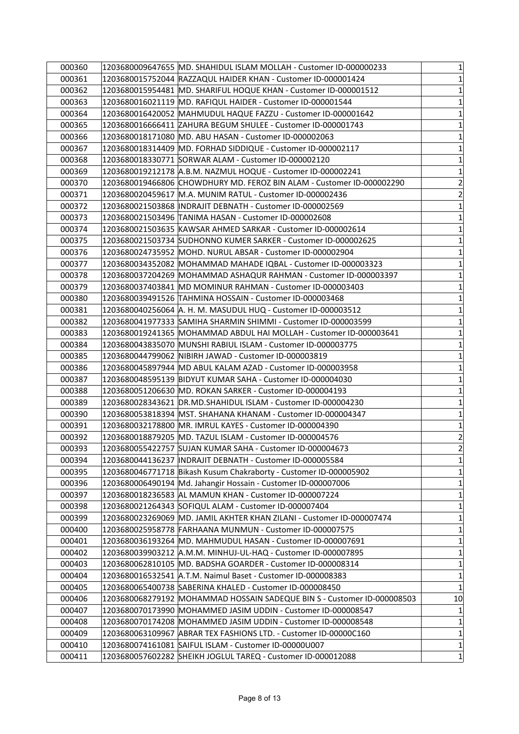| 000360           | 1203680009647655 MD. SHAHIDUL ISLAM MOLLAH - Customer ID-000000233      | 1                          |
|------------------|-------------------------------------------------------------------------|----------------------------|
| 000361           | 1203680015752044 RAZZAQUL HAIDER KHAN - Customer ID-000001424           | 1                          |
| 000362           | 1203680015954481 MD. SHARIFUL HOQUE KHAN - Customer ID-000001512        | $\mathbf{1}$               |
| 000363           | 1203680016021119  MD. RAFIQUL HAIDER - Customer ID-000001544            | 1                          |
| 000364           | 1203680016420052 MAHMUDUL HAQUE FAZZU - Customer ID-000001642           | $\mathbf 1$                |
| 000365           | 1203680016666411 ZAHURA BEGUM SHULEE - Customer ID-000001743            | $\mathbf 1$                |
| 000366           | 1203680018171080 MD. ABU HASAN - Customer ID-000002063                  | $\mathbf 1$                |
| 000367           | 1203680018314409 MD. FORHAD SIDDIQUE - Customer ID-000002117            | $\mathbf 1$                |
| 000368           | 1203680018330771 SORWAR ALAM - Customer ID-000002120                    | $\mathbf 1$                |
| 000369           | 1203680019212178 A.B.M. NAZMUL HOQUE - Customer ID-000002241            | $\mathbf 1$                |
| 000370           | 1203680019466806 CHOWDHURY MD. FEROZ BIN ALAM - Customer ID-000002290   | $\overline{\mathbf{c}}$    |
| 000371           | 1203680020459617 M.A. MUNIM RATUL - Customer ID-000002436               | $\overline{\mathbf{c}}$    |
| 000372           | 1203680021503868  INDRAJIT DEBNATH - Customer ID-000002569              | $\mathbf{1}$               |
| 000373           |                                                                         | $\mathbf 1$                |
| 000374           | 1203680021503635 KAWSAR AHMED SARKAR - Customer ID-000002614            | $\mathbf 1$                |
| 000375           |                                                                         | $\mathbf 1$                |
| 000376           | 1203680024735952 MOHD. NURUL ABSAR - Customer ID-000002904              | $\mathbf 1$                |
| 000377           | 1203680034352082 MOHAMMAD MAHADE IQBAL - Customer ID-000003323          | $\mathbf{1}$               |
| 000378           | 1203680037204269  MOHAMMAD ASHAQUR RAHMAN - Customer ID-000003397       | $\mathbf 1$                |
| 000379           | 1203680037403841 MD MOMINUR RAHMAN - Customer ID-000003403              | $\mathbf 1$                |
| 000380           | 1203680039491526 TAHMINA HOSSAIN - Customer ID-000003468                | $\mathbf 1$                |
| 000381           | 1203680040256064 A. H. M. MASUDUL HUQ - Customer ID-000003512           | $\mathbf 1$                |
| 000382           | 1203680041977333 SAMIHA SHARMIN SHIMMI - Customer ID-000003599          | 1                          |
| 000383           | 1203680019241365 MOHAMMAD ABDUL HAI MOLLAH - Customer ID-000003641      | $\mathbf 1$                |
| 000384           | 1203680043835070 MUNSHI RABIUL ISLAM - Customer ID-000003775            | $\mathbf 1$                |
| 000385           | 1203680044799062  NIBIRH JAWAD - Customer ID-000003819                  | $\mathbf 1$                |
| 000386           | 1203680045897944   MD ABUL KALAM AZAD - Customer ID-000003958           | $\mathbf 1$                |
| 000387           | 1203680048595139 BIDYUT KUMAR SAHA - Customer ID-000004030              | $\mathbf 1$                |
| 000388           | 1203680051206630 MD. ROKAN SARKER - Customer ID-000004193               | $\mathbf 1$                |
| 000389           | 1203680028343621 DR.MD.SHAHIDUL ISLAM - Customer ID-000004230           | $\mathbf 1$                |
| 000390           | 1203680053818394   MST. SHAHANA KHANAM - Customer ID-000004347          | $\mathbf 1$                |
| 000391           | 1203680032178800 MR. IMRUL KAYES - Customer ID-000004390                | $\mathbf 1$                |
| 000392           | 1203680018879205 MD. TAZUL ISLAM - Customer ID-000004576                | $\overline{\mathbf{c}}$    |
| 000393           | 1203680055422757 SUJAN KUMAR SAHA - Customer ID-000004673               | $\overline{2}$             |
| 000394           | 1203680044136237  INDRAJIT DEBNATH - Customer ID-000005584              | 1                          |
| 000395           | 1203680046771718 Bikash Kusum Chakraborty - Customer ID-000005902       | $\mathbf{1}$               |
| 000396           | 1203680006490194 Md. Jahangir Hossain - Customer ID-000007006           | $\mathbf{1}$               |
| 000397           | 1203680018236583 AL MAMUN KHAN - Customer ID-000007224                  | $\mathbf 1$                |
| 000398           | 1203680021264343 SOFIQUL ALAM - Customer ID-000007404                   | $\mathbf 1$                |
| 000399           | 1203680023269069 MD. JAMIL AKHTER KHAN ZILANI - Customer ID-000007474   | $\mathbf 1$                |
| 000400           | 1203680025958778 FARHAANA MUNMUN - Customer ID-000007575                | $\mathbf 1$                |
| 000401           | 1203680036193264 MD. MAHMUDUL HASAN - Customer ID-000007691             | 1                          |
| 000402           | 1203680039903212 A.M.M. MINHUJ-UL-HAQ - Customer ID-000007895           | $\mathbf 1$                |
| 000403           | 1203680062810105 MD. BADSHA GOARDER - Customer ID-000008314             | $\mathbf 1$                |
|                  |                                                                         |                            |
| 000404<br>000405 | 1203680016532541 A.T.M. Naimul Baset - Customer ID-000008383            | $\mathbf 1$<br>$\mathbf 1$ |
|                  | 1203680065400738 SABERINA KHALED - Customer ID-000008450                |                            |
| 000406           | 1203680068279192 MOHAMMAD HOSSAIN SADEQUE BIN S - Customer ID-000008503 | 10                         |
| 000407           | 1203680070173990 MOHAMMED JASIM UDDIN - Customer ID-000008547           | $\mathbf 1$                |
| 000408           | 1203680070174208 MOHAMMED JASIM UDDIN - Customer ID-000008548           | $\mathbf{1}$               |
| 000409           | 1203680063109967 ABRAR TEX FASHIONS LTD. - Customer ID-00000C160        | $\mathbf 1$                |
| 000410           | 1203680074161081 SAIFUL ISLAM - Customer ID-00000U007                   | $\mathbf 1$                |
| 000411           | 1203680057602282 SHEIKH JOGLUL TAREQ - Customer ID-000012088            | $\mathbf{1}$               |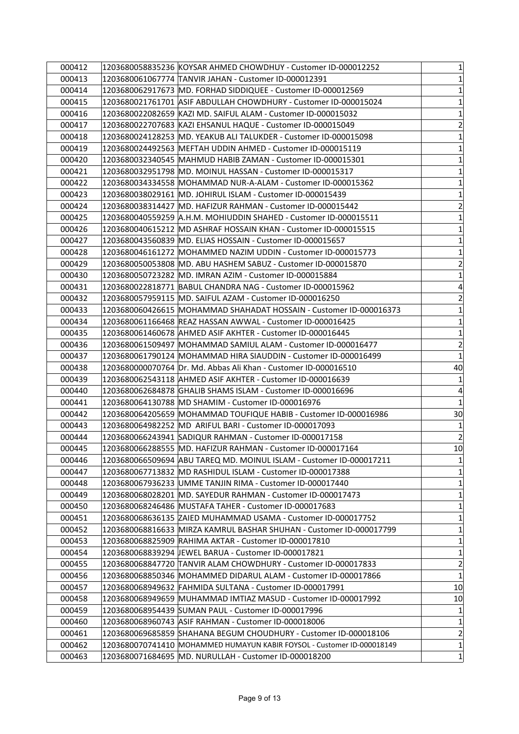| 000412 | 1203680058835236 KOYSAR AHMED CHOWDHUY - Customer ID-000012252         | $\mathbf{1}$                 |
|--------|------------------------------------------------------------------------|------------------------------|
| 000413 | 1203680061067774  TANVIR JAHAN - Customer ID-000012391                 | 1                            |
| 000414 | 1203680062917673  MD. FORHAD SIDDIQUEE - Customer ID-000012569         | $\mathbf 1$                  |
| 000415 |                                                                        | 1                            |
| 000416 |                                                                        | $\mathbf 1$                  |
| 000417 | 1203680022707683 KAZI EHSANUL HAQUE - Customer ID-000015049            | $\overline{\mathbf{c}}$      |
| 000418 | 1203680024128253  MD. YEAKUB ALI TALUKDER - Customer ID-000015098      | $\mathbf 1$                  |
| 000419 | 1203680024492563 MEFTAH UDDIN AHMED - Customer ID-000015119            | $\mathbf 1$                  |
| 000420 | 1203680032340545  MAHMUD HABIB ZAMAN - Customer ID-000015301           | $\mathbf 1$                  |
| 000421 | 1203680032951798  MD. MOINUL HASSAN - Customer ID-000015317            | $\mathbf 1$                  |
| 000422 | 1203680034334558  MOHAMMAD NUR-A-ALAM - Customer ID-000015362          | $\mathbf{1}$                 |
| 000423 | 1203680038029161  MD. JOHIRUL ISLAM - Customer ID-000015439            | $\mathbf 1$                  |
| 000424 | 1203680038314427  MD. HAFIZUR RAHMAN - Customer ID-000015442           | $\overline{2}$               |
| 000425 |                                                                        | $\mathbf 1$                  |
| 000426 |                                                                        | $\mathbf 1$                  |
| 000427 |                                                                        | $\mathbf 1$                  |
| 000428 | 1203680046161272  MOHAMMED NAZIM UDDIN - Customer ID-000015773         | $\mathbf 1$                  |
| 000429 | 1203680050053808  MD. ABU HASHEM SABUZ - Customer ID-000015870         | $\overline{2}$               |
| 000430 | 1203680050723282  MD. IMRAN AZIM - Customer ID-000015884               | $\mathbf 1$                  |
| 000431 | 1203680022818771 BABUL CHANDRA NAG - Customer ID-000015962             | $\overline{\mathbf{r}}$      |
| 000432 | 1203680057959115  MD. SAIFUL AZAM - Customer ID-000016250              | $\overline{\mathbf{c}}$      |
| 000433 | 1203680060426615  MOHAMMAD SHAHADAT HOSSAIN - Customer ID-000016373    | $\mathbf 1$                  |
| 000434 |                                                                        | 1                            |
| 000435 |                                                                        | $\mathbf 1$                  |
| 000436 | 1203680061509497 MOHAMMAD SAMIUL ALAM - Customer ID-000016477          | $\overline{2}$               |
| 000437 | 1203680061790124  MOHAMMAD HIRA SIAUDDIN - Customer ID-000016499       | $\mathbf 1$                  |
| 000438 | 1203680000070764 Dr. Md. Abbas Ali Khan - Customer ID-000016510        | 40                           |
| 000439 |                                                                        | $\mathbf{1}$                 |
| 000440 |                                                                        | 4                            |
| 000441 | 1203680064130788  MD SHAMIM - Customer ID-000016976                    | $\mathbf{1}$                 |
| 000442 | 1203680064205659  MOHAMMAD TOUFIQUE HABIB - Customer ID-000016986      | 30                           |
| 000443 | 1203680064982252  MD ARIFUL BARI - Customer ID-000017093               | 1                            |
| 000444 | 1203680066243941 SADIQUR RAHMAN - Customer ID-000017158                | $\overline{2}$               |
| 000445 | 1203680066288555 MD. HAFIZUR RAHMAN - Customer ID-000017164            | 10                           |
| 000446 | 1203680066509694 ABU TAREQ MD. MOINUL ISLAM - Customer ID-000017211    | 1                            |
| 000447 | 1203680067713832 MD RASHIDUL ISLAM - Customer ID-000017388             | 1                            |
| 000448 | 1203680067936233 UMME TANJIN RIMA - Customer ID-000017440              | $\mathbf{1}$                 |
| 000449 | 1203680068028201  MD. SAYEDUR RAHMAN - Customer ID-000017473           | $\mathbf 1$                  |
| 000450 | 1203680068246486 MUSTAFA TAHER - Customer ID-000017683                 | $\mathbf 1$                  |
| 000451 |                                                                        | 1                            |
| 000452 | 1203680068816633 MIRZA KAMRUL BASHAR SHUHAN - Customer ID-000017799    | $\mathbf 1$                  |
| 000453 |                                                                        | 1                            |
| 000454 | 1203680068839294 JEWEL BARUA - Customer ID-000017821                   | $\mathbf 1$                  |
| 000455 | 1203680068847720 TANVIR ALAM CHOWDHURY - Customer ID-000017833         | $\overline{2}$               |
|        | 1203680068850346 MOHAMMED DIDARUL ALAM - Customer ID-000017866         | $\mathbf 1$                  |
| 000456 | 1203680068949632 FAHMIDA SULTANA - Customer ID-000017991               | 10                           |
| 000457 | 1203680068949659  MUHAMMAD IMTIAZ MASUD - Customer ID-000017992        | 10                           |
| 000458 |                                                                        |                              |
| 000459 |                                                                        | $\mathbf{1}$                 |
| 000460 |                                                                        |                              |
| 000461 | 1203680068960743 ASIF RAHMAN - Customer ID-000018006                   | 1                            |
| 000462 | 1203680070741410 MOHAMMED HUMAYUN KABIR FOYSOL - Customer ID-000018149 | $\overline{\mathbf{c}}$<br>1 |
| 000463 | 1203680071684695 MD. NURULLAH - Customer ID-000018200                  | 1                            |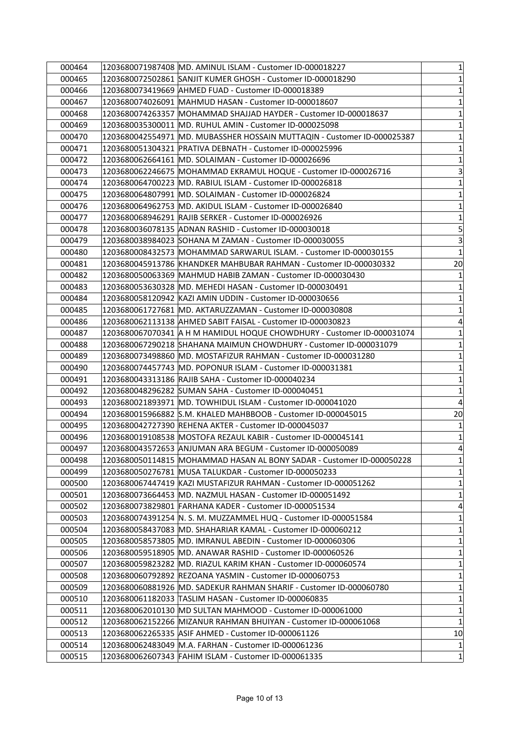| 000464 | 1203680071987408  MD. AMINUL ISLAM - Customer ID-000018227                 | 1              |
|--------|----------------------------------------------------------------------------|----------------|
| 000465 | 1203680072502861 SANJIT KUMER GHOSH - Customer ID-000018290                | 1              |
| 000466 |                                                                            | $\mathbf 1$    |
| 000467 | 1203680074026091  MAHMUD HASAN - Customer ID-000018607                     | 1              |
| 000468 | 1203680074263357  MOHAMMAD SHAJJAD HAYDER - Customer ID-000018637          | $\mathbf 1$    |
| 000469 | 1203680035300011 MD. RUHUL AMIN - Customer ID-000025098                    | $\mathbf 1$    |
| 000470 | 1203680042554971  MD. MUBASSHER HOSSAIN MUTTAQIN - Customer ID-000025387   | $\mathbf 1$    |
| 000471 | 1203680051304321 PRATIVA DEBNATH - Customer ID-000025996                   | $\mathbf{1}$   |
| 000472 | 1203680062664161  MD. SOLAIMAN - Customer ID-000026696                     | $\mathbf 1$    |
| 000473 |                                                                            | 3              |
| 000474 | 1203680064700223  MD. RABIUL ISLAM - Customer ID-000026818                 | $\mathbf{1}$   |
| 000475 | 1203680064807991  MD. SOLAIMAN - Customer ID-000026824                     | $\mathbf 1$    |
| 000476 | 1203680064962753  MD. AKIDUL ISLAM - Customer ID-000026840                 | $\mathbf 1$    |
| 000477 |                                                                            | $\mathbf 1$    |
| 000478 |                                                                            | 5              |
| 000479 |                                                                            | 3              |
| 000480 | 1203680008432573  MOHAMMAD SARWARUL ISLAM. - Customer ID-000030155         | $\mathbf 1$    |
| 000481 |                                                                            | 20             |
| 000482 |                                                                            | $\mathbf 1$    |
| 000483 | 1203680053630328 MD. MEHEDI HASAN - Customer ID-000030491                  | $\mathbf{1}$   |
| 000484 |                                                                            | $\mathbf{1}$   |
| 000485 | 1203680061727681  MD. AKTARUZZAMAN - Customer ID-000030808                 | $\mathbf 1$    |
| 000486 |                                                                            | 4              |
| 000487 | $ 1203680067070341 $ A H M HAMIDUL HOQUE CHOWDHURY - Customer ID-000031074 | $\mathbf 1$    |
| 000488 | 1203680067290218 SHAHANA MAIMUN CHOWDHURY - Customer ID-000031079          | $\mathbf 1$    |
| 000489 | 1203680073498860  MD. MOSTAFIZUR RAHMAN - Customer ID-000031280            | $\mathbf 1$    |
| 000490 | 1203680074457743  MD. POPONUR ISLAM - Customer ID-000031381                | $\mathbf 1$    |
| 000491 |                                                                            | $\mathbf 1$    |
| 000492 | 1203680048296282  SUMAN SAHA - Customer ID-000040451                       | $\mathbf 1$    |
| 000493 | 1203680021893971 MD. TOWHIDUL ISLAM - Customer ID-000041020                | 4              |
| 000494 |                                                                            | 20             |
| 000495 |                                                                            | 1              |
| 000496 | 1203680019108538  MOSTOFA REZAUL KABIR - Customer ID-000045141             | $\mathbf 1$    |
| 000497 | 1203680043572653 ANJUMAN ARA BEGUM - Customer ID-000050089                 | $\overline{4}$ |
| 000498 | 1203680050114815 MOHAMMAD HASAN AL BONY SADAR - Customer ID-000050228      | 1              |
| 000499 | 1203680050276781 MUSA TALUKDAR - Customer ID-000050233                     | 1              |
| 000500 |                                                                            | $\mathbf{1}$   |
| 000501 | 1203680073664453  MD. NAZMUL HASAN - Customer ID-000051492                 | $\mathbf 1$    |
| 000502 | 1203680073829801 FARHANA KADER - Customer ID-000051534                     | 4              |
| 000503 | 1203680074391254  N. S. M. MUZZAMMEL HUQ - Customer ID-000051584           | $\mathbf 1$    |
| 000504 | 1203680058437083  MD. SHAHARIAR KAMAL - Customer ID-000060212              | $\mathbf 1$    |
| 000505 | 1203680058573805  MD. IMRANUL ABEDIN - Customer ID-000060306               | 1              |
| 000506 | 1203680059518905 MD. ANAWAR RASHID - Customer ID-000060526                 | $\mathbf 1$    |
| 000507 | 1203680059823282 MD. RIAZUL KARIM KHAN - Customer ID-000060574             | $\mathbf 1$    |
| 000508 | 1203680060792892 REZOANA YASMIN - Customer ID-000060753                    | $\mathbf{1}$   |
| 000509 | 1203680060881926 MD. SADEKUR RAHMAN SHARIF - Customer ID-000060780         | $\mathbf 1$    |
| 000510 |                                                                            | 1              |
| 000511 | 1203680062010130  MD SULTAN MAHMOOD - Customer ID-000061000                | $\mathbf 1$    |
| 000512 | 1203680062152266 MIZANUR RAHMAN BHUIYAN - Customer ID-000061068            | $\mathbf{1}$   |
| 000513 | 1203680062265335  ASIF AHMED - Customer ID-000061126                       | 10             |
| 000514 | 1203680062483049  M.A. FARHAN - Customer ID-000061236                      | 1              |
| 000515 | 1203680062607343 FAHIM ISLAM - Customer ID-000061335                       | 1              |
|        |                                                                            |                |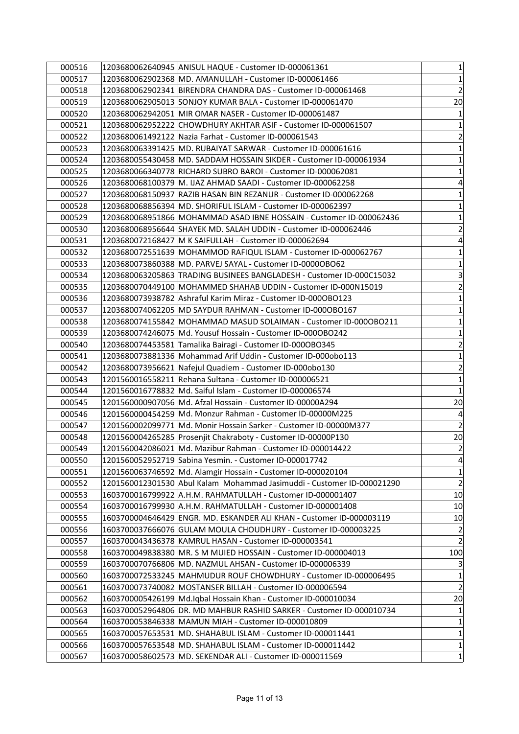| 000517<br>1203680062902368 MD. AMANULLAH - Customer ID-000061466<br>000518<br>1203680062902341 BIRENDRA CHANDRA DAS - Customer ID-000061468<br>000519<br>1203680062905013 SONJOY KUMAR BALA - Customer ID-000061470<br>000520<br>1203680062942051   MIR OMAR NASER - Customer ID-000061487<br>1203680062952222 CHOWDHURY AKHTAR ASIF - Customer ID-000061507<br>000521<br>000522<br>1203680061492122 Nazia Farhat - Customer ID-000061543<br>000523<br>1203680063391425 MD. RUBAIYAT SARWAR - Customer ID-000061616<br>1203680055430458 MD. SADDAM HOSSAIN SIKDER - Customer ID-000061934<br>000524<br>000525<br>000526<br> 1203680068100379  M. IJAZ AHMAD SAADI - Customer ID-000062258<br>000527<br>1203680068150937 RAZIB HASAN BIN REZANUR - Customer ID-000062268<br>1203680068856394 MD. SHORIFUL ISLAM - Customer ID-000062397<br>000528<br>000529<br>1203680068951866 MOHAMMAD ASAD IBNE HOSSAIN - Customer ID-000062436<br>000530<br>1203680068956644 SHAYEK MD. SALAH UDDIN - Customer ID-000062446<br>000531<br>1203680072168427 M K SAIFULLAH - Customer ID-000062694<br>000532<br>1203680072551639 MOHAMMOD RAFIQUL ISLAM - Customer ID-000062767<br>000533<br>1203680073860388 MD. PARVEJ SAYAL - Customer ID-0000OBO62<br>000534<br>1203680063205863  TRADING BUSINEES BANGLADESH - Customer ID-000C15032<br>000535<br> 1203680070449100  MOHAMMED SHAHAB UDDIN - Customer ID-000N15019<br>1203680073938782 Ashraful Karim Miraz - Customer ID-000OBO123<br>000536<br>000537<br>1203680074062205 MD SAYDUR RAHMAN - Customer ID-000OBO167<br>000538<br>1203680074155842  MOHAMMAD MASUD SOLAIMAN - Customer ID-0000BO211 <br>1203680074246075 Md. Yousuf Hossain - Customer ID-000OBO242<br>000539<br>1203680074453581 Tamalika Bairagi - Customer ID-000OBO345<br>000540<br>000541<br>1203680073881336 Mohammad Arif Uddin - Customer ID-000obo113<br>000542<br>1203680073956621 Nafejul Quadiem - Customer ID-000obo130<br>000543<br>1201560016558211 Rehana Sultana - Customer ID-000006521<br>000544<br>1201560016778832 Md. Saiful Islam - Customer ID-000006574<br>000545<br> 1201560000907056  Md. Afzal Hossain - Customer ID-00000A294<br>1201560000454259 Md. Monzur Rahman - Customer ID-00000M225<br>000546<br>000547<br>1201560002099771 Md. Monir Hossain Sarker - Customer ID-00000M377<br>1201560004265285 Prosenjit Chakraboty - Customer ID-00000P130<br>000548<br>1201560042086021 Md. Mazibur Rahman - Customer ID-000014422<br>000549<br>1201560052952719 Sabina Yesmin. - Customer ID-000017742<br>000550<br>000551<br>1201560063746592 Md. Alamgir Hossain - Customer ID-000020104<br>1201560012301530 Abul Kalam Mohammad Jasimuddi - Customer ID-000021290<br>000552<br>1603700016799922 A.H.M. RAHMATULLAH - Customer ID-000001407<br>000553<br>000554<br>1603700016799930 A.H.M. RAHMATULLAH - Customer ID-000001408<br>000555<br>1603700004646429 ENGR. MD. ESKANDER ALI KHAN - Customer ID-000003119<br>000556<br>1603700037666076 GULAM MOULA CHOUDHURY - Customer ID-000003225<br>000557<br>1603700043436378 KAMRUL HASAN - Customer ID-000003541<br>000558<br>1603700049838380 MR. S M MUIED HOSSAIN - Customer ID-000004013<br>000559<br>1603700070766806 MD. NAZMUL AHSAN - Customer ID-000006339<br>000560<br>1603700072533245 MAHMUDUR ROUF CHOWDHURY - Customer ID-000006495<br>000561<br>1603700073740082 MOSTANSER BILLAH - Customer ID-000006594<br>000562<br>1603700005426199 Md.Iqbal Hossain Khan - Customer ID-000010034<br>000563<br>1603700052964806 DR. MD MAHBUR RASHID SARKER - Customer ID-000010734<br>000564<br> 1603700053846338  MAMUN MIAH - Customer ID-000010809<br>000565<br>1603700057653531 MD. SHAHABUL ISLAM - Customer ID-000011441<br>000566<br>1603700057653548 MD. SHAHABUL ISLAM - Customer ID-000011442<br>000567<br>1603700058602573 MD. SEKENDAR ALI - Customer ID-000011569 | 000516 | 1203680062640945 ANISUL HAQUE - Customer ID-000061361 | $\mathbf{1}$ |
|--------------------------------------------------------------------------------------------------------------------------------------------------------------------------------------------------------------------------------------------------------------------------------------------------------------------------------------------------------------------------------------------------------------------------------------------------------------------------------------------------------------------------------------------------------------------------------------------------------------------------------------------------------------------------------------------------------------------------------------------------------------------------------------------------------------------------------------------------------------------------------------------------------------------------------------------------------------------------------------------------------------------------------------------------------------------------------------------------------------------------------------------------------------------------------------------------------------------------------------------------------------------------------------------------------------------------------------------------------------------------------------------------------------------------------------------------------------------------------------------------------------------------------------------------------------------------------------------------------------------------------------------------------------------------------------------------------------------------------------------------------------------------------------------------------------------------------------------------------------------------------------------------------------------------------------------------------------------------------------------------------------------------------------------------------------------------------------------------------------------------------------------------------------------------------------------------------------------------------------------------------------------------------------------------------------------------------------------------------------------------------------------------------------------------------------------------------------------------------------------------------------------------------------------------------------------------------------------------------------------------------------------------------------------------------------------------------------------------------------------------------------------------------------------------------------------------------------------------------------------------------------------------------------------------------------------------------------------------------------------------------------------------------------------------------------------------------------------------------------------------------------------------------------------------------------------------------------------------------------------------------------------------------------------------------------------------------------------------------------------------------------------------------------------------------------------------------------------------------------------------------------------------------------------------------------------------------------------------------------------------------------------------------------------------------------------------------------------------------------------------------------------------------------------------------------------------------------------------------------------|--------|-------------------------------------------------------|--------------|
| $\overline{2}$<br>20<br>$\mathbf{1}$<br>$\mathbf{1}$<br>$\mathbf{2}$<br>$\mathbf{1}$<br>$\mathbf{1}$<br>$\mathbf{1}$<br>$\vert 4 \vert$<br>$\mathbf{1}$<br>$\mathbf{1}$<br>$\mathbf{1}$<br>$\overline{2}$<br>$\overline{4}$<br>$\mathbf{1}$<br>$\mathbf{1}$<br>$\overline{\mathbf{3}}$<br>$\overline{2}$<br>$\mathbf{1}$<br>$\mathbf{1}$<br>$\mathbf{1}$<br>$\mathbf{1}$<br>$\overline{2}$<br>$\mathbf{1}$<br>$\mathbf{2}$<br>$\mathbf{1}$<br>$\mathbf{1}$<br>20<br>$\vert 4 \vert$<br>$\overline{2}$<br>20<br>$\overline{2}$<br>$\vert 4 \vert$<br>$\mathbf{1}$<br>$\overline{2}$<br>10<br>10<br>10<br>$\overline{2}$<br>$\overline{2}$<br>100<br>$\overline{3}$<br>$\mathbf{1}$<br>$\mathbf{2}$<br>20<br>$\mathbf{1}$<br>$\mathbf{1}$<br>$\mathbf{1}$<br>$\mathbf{1}$<br>$\mathbf{1}$                                                                                                                                                                                                                                                                                                                                                                                                                                                                                                                                                                                                                                                                                                                                                                                                                                                                                                                                                                                                                                                                                                                                                                                                                                                                                                                                                                                                                                                                                                                                                                                                                                                                                                                                                                                                                                                                                                                                                                                                                                                                                                                                                                                                                                                                                                                                                                                                                                                                                                                                                                                                                                                                                                                                                                                                                                                                                                                                                                                                                                                                            |        |                                                       | $\mathbf{1}$ |
|                                                                                                                                                                                                                                                                                                                                                                                                                                                                                                                                                                                                                                                                                                                                                                                                                                                                                                                                                                                                                                                                                                                                                                                                                                                                                                                                                                                                                                                                                                                                                                                                                                                                                                                                                                                                                                                                                                                                                                                                                                                                                                                                                                                                                                                                                                                                                                                                                                                                                                                                                                                                                                                                                                                                                                                                                                                                                                                                                                                                                                                                                                                                                                                                                                                                                                                                                                                                                                                                                                                                                                                                                                                                                                                                                                                                                                                                    |        |                                                       |              |
|                                                                                                                                                                                                                                                                                                                                                                                                                                                                                                                                                                                                                                                                                                                                                                                                                                                                                                                                                                                                                                                                                                                                                                                                                                                                                                                                                                                                                                                                                                                                                                                                                                                                                                                                                                                                                                                                                                                                                                                                                                                                                                                                                                                                                                                                                                                                                                                                                                                                                                                                                                                                                                                                                                                                                                                                                                                                                                                                                                                                                                                                                                                                                                                                                                                                                                                                                                                                                                                                                                                                                                                                                                                                                                                                                                                                                                                                    |        |                                                       |              |
|                                                                                                                                                                                                                                                                                                                                                                                                                                                                                                                                                                                                                                                                                                                                                                                                                                                                                                                                                                                                                                                                                                                                                                                                                                                                                                                                                                                                                                                                                                                                                                                                                                                                                                                                                                                                                                                                                                                                                                                                                                                                                                                                                                                                                                                                                                                                                                                                                                                                                                                                                                                                                                                                                                                                                                                                                                                                                                                                                                                                                                                                                                                                                                                                                                                                                                                                                                                                                                                                                                                                                                                                                                                                                                                                                                                                                                                                    |        |                                                       |              |
|                                                                                                                                                                                                                                                                                                                                                                                                                                                                                                                                                                                                                                                                                                                                                                                                                                                                                                                                                                                                                                                                                                                                                                                                                                                                                                                                                                                                                                                                                                                                                                                                                                                                                                                                                                                                                                                                                                                                                                                                                                                                                                                                                                                                                                                                                                                                                                                                                                                                                                                                                                                                                                                                                                                                                                                                                                                                                                                                                                                                                                                                                                                                                                                                                                                                                                                                                                                                                                                                                                                                                                                                                                                                                                                                                                                                                                                                    |        |                                                       |              |
|                                                                                                                                                                                                                                                                                                                                                                                                                                                                                                                                                                                                                                                                                                                                                                                                                                                                                                                                                                                                                                                                                                                                                                                                                                                                                                                                                                                                                                                                                                                                                                                                                                                                                                                                                                                                                                                                                                                                                                                                                                                                                                                                                                                                                                                                                                                                                                                                                                                                                                                                                                                                                                                                                                                                                                                                                                                                                                                                                                                                                                                                                                                                                                                                                                                                                                                                                                                                                                                                                                                                                                                                                                                                                                                                                                                                                                                                    |        |                                                       |              |
|                                                                                                                                                                                                                                                                                                                                                                                                                                                                                                                                                                                                                                                                                                                                                                                                                                                                                                                                                                                                                                                                                                                                                                                                                                                                                                                                                                                                                                                                                                                                                                                                                                                                                                                                                                                                                                                                                                                                                                                                                                                                                                                                                                                                                                                                                                                                                                                                                                                                                                                                                                                                                                                                                                                                                                                                                                                                                                                                                                                                                                                                                                                                                                                                                                                                                                                                                                                                                                                                                                                                                                                                                                                                                                                                                                                                                                                                    |        |                                                       |              |
|                                                                                                                                                                                                                                                                                                                                                                                                                                                                                                                                                                                                                                                                                                                                                                                                                                                                                                                                                                                                                                                                                                                                                                                                                                                                                                                                                                                                                                                                                                                                                                                                                                                                                                                                                                                                                                                                                                                                                                                                                                                                                                                                                                                                                                                                                                                                                                                                                                                                                                                                                                                                                                                                                                                                                                                                                                                                                                                                                                                                                                                                                                                                                                                                                                                                                                                                                                                                                                                                                                                                                                                                                                                                                                                                                                                                                                                                    |        |                                                       |              |
|                                                                                                                                                                                                                                                                                                                                                                                                                                                                                                                                                                                                                                                                                                                                                                                                                                                                                                                                                                                                                                                                                                                                                                                                                                                                                                                                                                                                                                                                                                                                                                                                                                                                                                                                                                                                                                                                                                                                                                                                                                                                                                                                                                                                                                                                                                                                                                                                                                                                                                                                                                                                                                                                                                                                                                                                                                                                                                                                                                                                                                                                                                                                                                                                                                                                                                                                                                                                                                                                                                                                                                                                                                                                                                                                                                                                                                                                    |        |                                                       |              |
|                                                                                                                                                                                                                                                                                                                                                                                                                                                                                                                                                                                                                                                                                                                                                                                                                                                                                                                                                                                                                                                                                                                                                                                                                                                                                                                                                                                                                                                                                                                                                                                                                                                                                                                                                                                                                                                                                                                                                                                                                                                                                                                                                                                                                                                                                                                                                                                                                                                                                                                                                                                                                                                                                                                                                                                                                                                                                                                                                                                                                                                                                                                                                                                                                                                                                                                                                                                                                                                                                                                                                                                                                                                                                                                                                                                                                                                                    |        |                                                       |              |
|                                                                                                                                                                                                                                                                                                                                                                                                                                                                                                                                                                                                                                                                                                                                                                                                                                                                                                                                                                                                                                                                                                                                                                                                                                                                                                                                                                                                                                                                                                                                                                                                                                                                                                                                                                                                                                                                                                                                                                                                                                                                                                                                                                                                                                                                                                                                                                                                                                                                                                                                                                                                                                                                                                                                                                                                                                                                                                                                                                                                                                                                                                                                                                                                                                                                                                                                                                                                                                                                                                                                                                                                                                                                                                                                                                                                                                                                    |        |                                                       |              |
|                                                                                                                                                                                                                                                                                                                                                                                                                                                                                                                                                                                                                                                                                                                                                                                                                                                                                                                                                                                                                                                                                                                                                                                                                                                                                                                                                                                                                                                                                                                                                                                                                                                                                                                                                                                                                                                                                                                                                                                                                                                                                                                                                                                                                                                                                                                                                                                                                                                                                                                                                                                                                                                                                                                                                                                                                                                                                                                                                                                                                                                                                                                                                                                                                                                                                                                                                                                                                                                                                                                                                                                                                                                                                                                                                                                                                                                                    |        |                                                       |              |
|                                                                                                                                                                                                                                                                                                                                                                                                                                                                                                                                                                                                                                                                                                                                                                                                                                                                                                                                                                                                                                                                                                                                                                                                                                                                                                                                                                                                                                                                                                                                                                                                                                                                                                                                                                                                                                                                                                                                                                                                                                                                                                                                                                                                                                                                                                                                                                                                                                                                                                                                                                                                                                                                                                                                                                                                                                                                                                                                                                                                                                                                                                                                                                                                                                                                                                                                                                                                                                                                                                                                                                                                                                                                                                                                                                                                                                                                    |        |                                                       |              |
|                                                                                                                                                                                                                                                                                                                                                                                                                                                                                                                                                                                                                                                                                                                                                                                                                                                                                                                                                                                                                                                                                                                                                                                                                                                                                                                                                                                                                                                                                                                                                                                                                                                                                                                                                                                                                                                                                                                                                                                                                                                                                                                                                                                                                                                                                                                                                                                                                                                                                                                                                                                                                                                                                                                                                                                                                                                                                                                                                                                                                                                                                                                                                                                                                                                                                                                                                                                                                                                                                                                                                                                                                                                                                                                                                                                                                                                                    |        |                                                       |              |
|                                                                                                                                                                                                                                                                                                                                                                                                                                                                                                                                                                                                                                                                                                                                                                                                                                                                                                                                                                                                                                                                                                                                                                                                                                                                                                                                                                                                                                                                                                                                                                                                                                                                                                                                                                                                                                                                                                                                                                                                                                                                                                                                                                                                                                                                                                                                                                                                                                                                                                                                                                                                                                                                                                                                                                                                                                                                                                                                                                                                                                                                                                                                                                                                                                                                                                                                                                                                                                                                                                                                                                                                                                                                                                                                                                                                                                                                    |        |                                                       |              |
|                                                                                                                                                                                                                                                                                                                                                                                                                                                                                                                                                                                                                                                                                                                                                                                                                                                                                                                                                                                                                                                                                                                                                                                                                                                                                                                                                                                                                                                                                                                                                                                                                                                                                                                                                                                                                                                                                                                                                                                                                                                                                                                                                                                                                                                                                                                                                                                                                                                                                                                                                                                                                                                                                                                                                                                                                                                                                                                                                                                                                                                                                                                                                                                                                                                                                                                                                                                                                                                                                                                                                                                                                                                                                                                                                                                                                                                                    |        |                                                       |              |
|                                                                                                                                                                                                                                                                                                                                                                                                                                                                                                                                                                                                                                                                                                                                                                                                                                                                                                                                                                                                                                                                                                                                                                                                                                                                                                                                                                                                                                                                                                                                                                                                                                                                                                                                                                                                                                                                                                                                                                                                                                                                                                                                                                                                                                                                                                                                                                                                                                                                                                                                                                                                                                                                                                                                                                                                                                                                                                                                                                                                                                                                                                                                                                                                                                                                                                                                                                                                                                                                                                                                                                                                                                                                                                                                                                                                                                                                    |        |                                                       |              |
|                                                                                                                                                                                                                                                                                                                                                                                                                                                                                                                                                                                                                                                                                                                                                                                                                                                                                                                                                                                                                                                                                                                                                                                                                                                                                                                                                                                                                                                                                                                                                                                                                                                                                                                                                                                                                                                                                                                                                                                                                                                                                                                                                                                                                                                                                                                                                                                                                                                                                                                                                                                                                                                                                                                                                                                                                                                                                                                                                                                                                                                                                                                                                                                                                                                                                                                                                                                                                                                                                                                                                                                                                                                                                                                                                                                                                                                                    |        |                                                       |              |
|                                                                                                                                                                                                                                                                                                                                                                                                                                                                                                                                                                                                                                                                                                                                                                                                                                                                                                                                                                                                                                                                                                                                                                                                                                                                                                                                                                                                                                                                                                                                                                                                                                                                                                                                                                                                                                                                                                                                                                                                                                                                                                                                                                                                                                                                                                                                                                                                                                                                                                                                                                                                                                                                                                                                                                                                                                                                                                                                                                                                                                                                                                                                                                                                                                                                                                                                                                                                                                                                                                                                                                                                                                                                                                                                                                                                                                                                    |        |                                                       |              |
|                                                                                                                                                                                                                                                                                                                                                                                                                                                                                                                                                                                                                                                                                                                                                                                                                                                                                                                                                                                                                                                                                                                                                                                                                                                                                                                                                                                                                                                                                                                                                                                                                                                                                                                                                                                                                                                                                                                                                                                                                                                                                                                                                                                                                                                                                                                                                                                                                                                                                                                                                                                                                                                                                                                                                                                                                                                                                                                                                                                                                                                                                                                                                                                                                                                                                                                                                                                                                                                                                                                                                                                                                                                                                                                                                                                                                                                                    |        |                                                       |              |
|                                                                                                                                                                                                                                                                                                                                                                                                                                                                                                                                                                                                                                                                                                                                                                                                                                                                                                                                                                                                                                                                                                                                                                                                                                                                                                                                                                                                                                                                                                                                                                                                                                                                                                                                                                                                                                                                                                                                                                                                                                                                                                                                                                                                                                                                                                                                                                                                                                                                                                                                                                                                                                                                                                                                                                                                                                                                                                                                                                                                                                                                                                                                                                                                                                                                                                                                                                                                                                                                                                                                                                                                                                                                                                                                                                                                                                                                    |        |                                                       |              |
|                                                                                                                                                                                                                                                                                                                                                                                                                                                                                                                                                                                                                                                                                                                                                                                                                                                                                                                                                                                                                                                                                                                                                                                                                                                                                                                                                                                                                                                                                                                                                                                                                                                                                                                                                                                                                                                                                                                                                                                                                                                                                                                                                                                                                                                                                                                                                                                                                                                                                                                                                                                                                                                                                                                                                                                                                                                                                                                                                                                                                                                                                                                                                                                                                                                                                                                                                                                                                                                                                                                                                                                                                                                                                                                                                                                                                                                                    |        |                                                       |              |
|                                                                                                                                                                                                                                                                                                                                                                                                                                                                                                                                                                                                                                                                                                                                                                                                                                                                                                                                                                                                                                                                                                                                                                                                                                                                                                                                                                                                                                                                                                                                                                                                                                                                                                                                                                                                                                                                                                                                                                                                                                                                                                                                                                                                                                                                                                                                                                                                                                                                                                                                                                                                                                                                                                                                                                                                                                                                                                                                                                                                                                                                                                                                                                                                                                                                                                                                                                                                                                                                                                                                                                                                                                                                                                                                                                                                                                                                    |        |                                                       |              |
|                                                                                                                                                                                                                                                                                                                                                                                                                                                                                                                                                                                                                                                                                                                                                                                                                                                                                                                                                                                                                                                                                                                                                                                                                                                                                                                                                                                                                                                                                                                                                                                                                                                                                                                                                                                                                                                                                                                                                                                                                                                                                                                                                                                                                                                                                                                                                                                                                                                                                                                                                                                                                                                                                                                                                                                                                                                                                                                                                                                                                                                                                                                                                                                                                                                                                                                                                                                                                                                                                                                                                                                                                                                                                                                                                                                                                                                                    |        |                                                       |              |
|                                                                                                                                                                                                                                                                                                                                                                                                                                                                                                                                                                                                                                                                                                                                                                                                                                                                                                                                                                                                                                                                                                                                                                                                                                                                                                                                                                                                                                                                                                                                                                                                                                                                                                                                                                                                                                                                                                                                                                                                                                                                                                                                                                                                                                                                                                                                                                                                                                                                                                                                                                                                                                                                                                                                                                                                                                                                                                                                                                                                                                                                                                                                                                                                                                                                                                                                                                                                                                                                                                                                                                                                                                                                                                                                                                                                                                                                    |        |                                                       |              |
|                                                                                                                                                                                                                                                                                                                                                                                                                                                                                                                                                                                                                                                                                                                                                                                                                                                                                                                                                                                                                                                                                                                                                                                                                                                                                                                                                                                                                                                                                                                                                                                                                                                                                                                                                                                                                                                                                                                                                                                                                                                                                                                                                                                                                                                                                                                                                                                                                                                                                                                                                                                                                                                                                                                                                                                                                                                                                                                                                                                                                                                                                                                                                                                                                                                                                                                                                                                                                                                                                                                                                                                                                                                                                                                                                                                                                                                                    |        |                                                       |              |
|                                                                                                                                                                                                                                                                                                                                                                                                                                                                                                                                                                                                                                                                                                                                                                                                                                                                                                                                                                                                                                                                                                                                                                                                                                                                                                                                                                                                                                                                                                                                                                                                                                                                                                                                                                                                                                                                                                                                                                                                                                                                                                                                                                                                                                                                                                                                                                                                                                                                                                                                                                                                                                                                                                                                                                                                                                                                                                                                                                                                                                                                                                                                                                                                                                                                                                                                                                                                                                                                                                                                                                                                                                                                                                                                                                                                                                                                    |        |                                                       |              |
|                                                                                                                                                                                                                                                                                                                                                                                                                                                                                                                                                                                                                                                                                                                                                                                                                                                                                                                                                                                                                                                                                                                                                                                                                                                                                                                                                                                                                                                                                                                                                                                                                                                                                                                                                                                                                                                                                                                                                                                                                                                                                                                                                                                                                                                                                                                                                                                                                                                                                                                                                                                                                                                                                                                                                                                                                                                                                                                                                                                                                                                                                                                                                                                                                                                                                                                                                                                                                                                                                                                                                                                                                                                                                                                                                                                                                                                                    |        |                                                       |              |
|                                                                                                                                                                                                                                                                                                                                                                                                                                                                                                                                                                                                                                                                                                                                                                                                                                                                                                                                                                                                                                                                                                                                                                                                                                                                                                                                                                                                                                                                                                                                                                                                                                                                                                                                                                                                                                                                                                                                                                                                                                                                                                                                                                                                                                                                                                                                                                                                                                                                                                                                                                                                                                                                                                                                                                                                                                                                                                                                                                                                                                                                                                                                                                                                                                                                                                                                                                                                                                                                                                                                                                                                                                                                                                                                                                                                                                                                    |        |                                                       |              |
|                                                                                                                                                                                                                                                                                                                                                                                                                                                                                                                                                                                                                                                                                                                                                                                                                                                                                                                                                                                                                                                                                                                                                                                                                                                                                                                                                                                                                                                                                                                                                                                                                                                                                                                                                                                                                                                                                                                                                                                                                                                                                                                                                                                                                                                                                                                                                                                                                                                                                                                                                                                                                                                                                                                                                                                                                                                                                                                                                                                                                                                                                                                                                                                                                                                                                                                                                                                                                                                                                                                                                                                                                                                                                                                                                                                                                                                                    |        |                                                       |              |
|                                                                                                                                                                                                                                                                                                                                                                                                                                                                                                                                                                                                                                                                                                                                                                                                                                                                                                                                                                                                                                                                                                                                                                                                                                                                                                                                                                                                                                                                                                                                                                                                                                                                                                                                                                                                                                                                                                                                                                                                                                                                                                                                                                                                                                                                                                                                                                                                                                                                                                                                                                                                                                                                                                                                                                                                                                                                                                                                                                                                                                                                                                                                                                                                                                                                                                                                                                                                                                                                                                                                                                                                                                                                                                                                                                                                                                                                    |        |                                                       |              |
|                                                                                                                                                                                                                                                                                                                                                                                                                                                                                                                                                                                                                                                                                                                                                                                                                                                                                                                                                                                                                                                                                                                                                                                                                                                                                                                                                                                                                                                                                                                                                                                                                                                                                                                                                                                                                                                                                                                                                                                                                                                                                                                                                                                                                                                                                                                                                                                                                                                                                                                                                                                                                                                                                                                                                                                                                                                                                                                                                                                                                                                                                                                                                                                                                                                                                                                                                                                                                                                                                                                                                                                                                                                                                                                                                                                                                                                                    |        |                                                       |              |
|                                                                                                                                                                                                                                                                                                                                                                                                                                                                                                                                                                                                                                                                                                                                                                                                                                                                                                                                                                                                                                                                                                                                                                                                                                                                                                                                                                                                                                                                                                                                                                                                                                                                                                                                                                                                                                                                                                                                                                                                                                                                                                                                                                                                                                                                                                                                                                                                                                                                                                                                                                                                                                                                                                                                                                                                                                                                                                                                                                                                                                                                                                                                                                                                                                                                                                                                                                                                                                                                                                                                                                                                                                                                                                                                                                                                                                                                    |        |                                                       |              |
|                                                                                                                                                                                                                                                                                                                                                                                                                                                                                                                                                                                                                                                                                                                                                                                                                                                                                                                                                                                                                                                                                                                                                                                                                                                                                                                                                                                                                                                                                                                                                                                                                                                                                                                                                                                                                                                                                                                                                                                                                                                                                                                                                                                                                                                                                                                                                                                                                                                                                                                                                                                                                                                                                                                                                                                                                                                                                                                                                                                                                                                                                                                                                                                                                                                                                                                                                                                                                                                                                                                                                                                                                                                                                                                                                                                                                                                                    |        |                                                       |              |
|                                                                                                                                                                                                                                                                                                                                                                                                                                                                                                                                                                                                                                                                                                                                                                                                                                                                                                                                                                                                                                                                                                                                                                                                                                                                                                                                                                                                                                                                                                                                                                                                                                                                                                                                                                                                                                                                                                                                                                                                                                                                                                                                                                                                                                                                                                                                                                                                                                                                                                                                                                                                                                                                                                                                                                                                                                                                                                                                                                                                                                                                                                                                                                                                                                                                                                                                                                                                                                                                                                                                                                                                                                                                                                                                                                                                                                                                    |        |                                                       |              |
|                                                                                                                                                                                                                                                                                                                                                                                                                                                                                                                                                                                                                                                                                                                                                                                                                                                                                                                                                                                                                                                                                                                                                                                                                                                                                                                                                                                                                                                                                                                                                                                                                                                                                                                                                                                                                                                                                                                                                                                                                                                                                                                                                                                                                                                                                                                                                                                                                                                                                                                                                                                                                                                                                                                                                                                                                                                                                                                                                                                                                                                                                                                                                                                                                                                                                                                                                                                                                                                                                                                                                                                                                                                                                                                                                                                                                                                                    |        |                                                       |              |
|                                                                                                                                                                                                                                                                                                                                                                                                                                                                                                                                                                                                                                                                                                                                                                                                                                                                                                                                                                                                                                                                                                                                                                                                                                                                                                                                                                                                                                                                                                                                                                                                                                                                                                                                                                                                                                                                                                                                                                                                                                                                                                                                                                                                                                                                                                                                                                                                                                                                                                                                                                                                                                                                                                                                                                                                                                                                                                                                                                                                                                                                                                                                                                                                                                                                                                                                                                                                                                                                                                                                                                                                                                                                                                                                                                                                                                                                    |        |                                                       |              |
|                                                                                                                                                                                                                                                                                                                                                                                                                                                                                                                                                                                                                                                                                                                                                                                                                                                                                                                                                                                                                                                                                                                                                                                                                                                                                                                                                                                                                                                                                                                                                                                                                                                                                                                                                                                                                                                                                                                                                                                                                                                                                                                                                                                                                                                                                                                                                                                                                                                                                                                                                                                                                                                                                                                                                                                                                                                                                                                                                                                                                                                                                                                                                                                                                                                                                                                                                                                                                                                                                                                                                                                                                                                                                                                                                                                                                                                                    |        |                                                       |              |
|                                                                                                                                                                                                                                                                                                                                                                                                                                                                                                                                                                                                                                                                                                                                                                                                                                                                                                                                                                                                                                                                                                                                                                                                                                                                                                                                                                                                                                                                                                                                                                                                                                                                                                                                                                                                                                                                                                                                                                                                                                                                                                                                                                                                                                                                                                                                                                                                                                                                                                                                                                                                                                                                                                                                                                                                                                                                                                                                                                                                                                                                                                                                                                                                                                                                                                                                                                                                                                                                                                                                                                                                                                                                                                                                                                                                                                                                    |        |                                                       |              |
|                                                                                                                                                                                                                                                                                                                                                                                                                                                                                                                                                                                                                                                                                                                                                                                                                                                                                                                                                                                                                                                                                                                                                                                                                                                                                                                                                                                                                                                                                                                                                                                                                                                                                                                                                                                                                                                                                                                                                                                                                                                                                                                                                                                                                                                                                                                                                                                                                                                                                                                                                                                                                                                                                                                                                                                                                                                                                                                                                                                                                                                                                                                                                                                                                                                                                                                                                                                                                                                                                                                                                                                                                                                                                                                                                                                                                                                                    |        |                                                       |              |
|                                                                                                                                                                                                                                                                                                                                                                                                                                                                                                                                                                                                                                                                                                                                                                                                                                                                                                                                                                                                                                                                                                                                                                                                                                                                                                                                                                                                                                                                                                                                                                                                                                                                                                                                                                                                                                                                                                                                                                                                                                                                                                                                                                                                                                                                                                                                                                                                                                                                                                                                                                                                                                                                                                                                                                                                                                                                                                                                                                                                                                                                                                                                                                                                                                                                                                                                                                                                                                                                                                                                                                                                                                                                                                                                                                                                                                                                    |        |                                                       |              |
|                                                                                                                                                                                                                                                                                                                                                                                                                                                                                                                                                                                                                                                                                                                                                                                                                                                                                                                                                                                                                                                                                                                                                                                                                                                                                                                                                                                                                                                                                                                                                                                                                                                                                                                                                                                                                                                                                                                                                                                                                                                                                                                                                                                                                                                                                                                                                                                                                                                                                                                                                                                                                                                                                                                                                                                                                                                                                                                                                                                                                                                                                                                                                                                                                                                                                                                                                                                                                                                                                                                                                                                                                                                                                                                                                                                                                                                                    |        |                                                       |              |
|                                                                                                                                                                                                                                                                                                                                                                                                                                                                                                                                                                                                                                                                                                                                                                                                                                                                                                                                                                                                                                                                                                                                                                                                                                                                                                                                                                                                                                                                                                                                                                                                                                                                                                                                                                                                                                                                                                                                                                                                                                                                                                                                                                                                                                                                                                                                                                                                                                                                                                                                                                                                                                                                                                                                                                                                                                                                                                                                                                                                                                                                                                                                                                                                                                                                                                                                                                                                                                                                                                                                                                                                                                                                                                                                                                                                                                                                    |        |                                                       |              |
|                                                                                                                                                                                                                                                                                                                                                                                                                                                                                                                                                                                                                                                                                                                                                                                                                                                                                                                                                                                                                                                                                                                                                                                                                                                                                                                                                                                                                                                                                                                                                                                                                                                                                                                                                                                                                                                                                                                                                                                                                                                                                                                                                                                                                                                                                                                                                                                                                                                                                                                                                                                                                                                                                                                                                                                                                                                                                                                                                                                                                                                                                                                                                                                                                                                                                                                                                                                                                                                                                                                                                                                                                                                                                                                                                                                                                                                                    |        |                                                       |              |
|                                                                                                                                                                                                                                                                                                                                                                                                                                                                                                                                                                                                                                                                                                                                                                                                                                                                                                                                                                                                                                                                                                                                                                                                                                                                                                                                                                                                                                                                                                                                                                                                                                                                                                                                                                                                                                                                                                                                                                                                                                                                                                                                                                                                                                                                                                                                                                                                                                                                                                                                                                                                                                                                                                                                                                                                                                                                                                                                                                                                                                                                                                                                                                                                                                                                                                                                                                                                                                                                                                                                                                                                                                                                                                                                                                                                                                                                    |        |                                                       |              |
|                                                                                                                                                                                                                                                                                                                                                                                                                                                                                                                                                                                                                                                                                                                                                                                                                                                                                                                                                                                                                                                                                                                                                                                                                                                                                                                                                                                                                                                                                                                                                                                                                                                                                                                                                                                                                                                                                                                                                                                                                                                                                                                                                                                                                                                                                                                                                                                                                                                                                                                                                                                                                                                                                                                                                                                                                                                                                                                                                                                                                                                                                                                                                                                                                                                                                                                                                                                                                                                                                                                                                                                                                                                                                                                                                                                                                                                                    |        |                                                       |              |
|                                                                                                                                                                                                                                                                                                                                                                                                                                                                                                                                                                                                                                                                                                                                                                                                                                                                                                                                                                                                                                                                                                                                                                                                                                                                                                                                                                                                                                                                                                                                                                                                                                                                                                                                                                                                                                                                                                                                                                                                                                                                                                                                                                                                                                                                                                                                                                                                                                                                                                                                                                                                                                                                                                                                                                                                                                                                                                                                                                                                                                                                                                                                                                                                                                                                                                                                                                                                                                                                                                                                                                                                                                                                                                                                                                                                                                                                    |        |                                                       |              |
|                                                                                                                                                                                                                                                                                                                                                                                                                                                                                                                                                                                                                                                                                                                                                                                                                                                                                                                                                                                                                                                                                                                                                                                                                                                                                                                                                                                                                                                                                                                                                                                                                                                                                                                                                                                                                                                                                                                                                                                                                                                                                                                                                                                                                                                                                                                                                                                                                                                                                                                                                                                                                                                                                                                                                                                                                                                                                                                                                                                                                                                                                                                                                                                                                                                                                                                                                                                                                                                                                                                                                                                                                                                                                                                                                                                                                                                                    |        |                                                       |              |
|                                                                                                                                                                                                                                                                                                                                                                                                                                                                                                                                                                                                                                                                                                                                                                                                                                                                                                                                                                                                                                                                                                                                                                                                                                                                                                                                                                                                                                                                                                                                                                                                                                                                                                                                                                                                                                                                                                                                                                                                                                                                                                                                                                                                                                                                                                                                                                                                                                                                                                                                                                                                                                                                                                                                                                                                                                                                                                                                                                                                                                                                                                                                                                                                                                                                                                                                                                                                                                                                                                                                                                                                                                                                                                                                                                                                                                                                    |        |                                                       |              |
|                                                                                                                                                                                                                                                                                                                                                                                                                                                                                                                                                                                                                                                                                                                                                                                                                                                                                                                                                                                                                                                                                                                                                                                                                                                                                                                                                                                                                                                                                                                                                                                                                                                                                                                                                                                                                                                                                                                                                                                                                                                                                                                                                                                                                                                                                                                                                                                                                                                                                                                                                                                                                                                                                                                                                                                                                                                                                                                                                                                                                                                                                                                                                                                                                                                                                                                                                                                                                                                                                                                                                                                                                                                                                                                                                                                                                                                                    |        |                                                       |              |
|                                                                                                                                                                                                                                                                                                                                                                                                                                                                                                                                                                                                                                                                                                                                                                                                                                                                                                                                                                                                                                                                                                                                                                                                                                                                                                                                                                                                                                                                                                                                                                                                                                                                                                                                                                                                                                                                                                                                                                                                                                                                                                                                                                                                                                                                                                                                                                                                                                                                                                                                                                                                                                                                                                                                                                                                                                                                                                                                                                                                                                                                                                                                                                                                                                                                                                                                                                                                                                                                                                                                                                                                                                                                                                                                                                                                                                                                    |        |                                                       |              |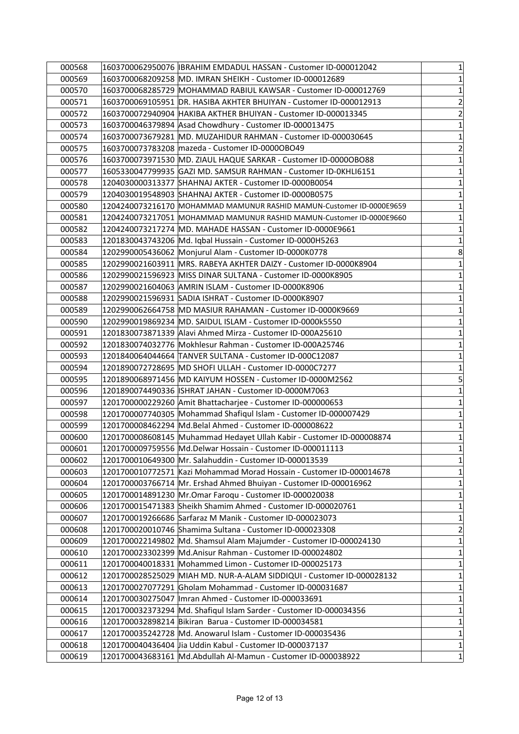| 000568 | 1603700062950076  IBRAHIM EMDADUL HASSAN - Customer ID-000012042      | $\mathbf 1$             |
|--------|-----------------------------------------------------------------------|-------------------------|
| 000569 | 1603700068209258 MD. IMRAN SHEIKH - Customer ID-000012689             | 1                       |
| 000570 | 1603700068285729 MOHAMMAD RABIUL KAWSAR - Customer ID-000012769       | $\mathbf 1$             |
| 000571 | 1603700069105951 DR. HASIBA AKHTER BHUIYAN - Customer ID-000012913    | $\overline{2}$          |
| 000572 |                                                                       | $\overline{c}$          |
| 000573 | 1603700046379894 Asad Chowdhury - Customer ID-000013475               | $\mathbf{1}$            |
| 000574 | 1603700073679281 MD. MUZAHIDUR RAHMAN - Customer ID-000030645         | $\mathbf 1$             |
| 000575 | 1603700073783208 mazeda - Customer ID-0000OBO49                       | $\overline{c}$          |
| 000576 | 1603700073971530 MD. ZIAUL HAQUE SARKAR - Customer ID-0000OBO88       | $\mathbf 1$             |
| 000577 | 1605330047799935 GAZI MD. SAMSUR RAHMAN - Customer ID-0KHLI6151       | $\mathbf 1$             |
| 000578 | 1204030000313377 SHAHNAJ AKTER - Customer ID-0000B0054                | $\mathbf{1}$            |
| 000579 | 1204030019548903 SHAHNAJ AKTER - Customer ID-0000B0575                | $\mathbf 1$             |
| 000580 | 1204240073216170 MOHAMMAD MAMUNUR RASHID MAMUN-Customer ID-0000E9659  | $\mathbf 1$             |
| 000581 | 1204240073217051 MOHAMMAD MAMUNUR RASHID MAMUN-Customer ID-0000E9660  | $\mathbf 1$             |
| 000582 | 1204240073217274 MD. MAHADE HASSAN - Customer ID-0000E9661            | $\mathbf 1$             |
| 000583 | 1201830043743206 Md. Iqbal Hussain - Customer ID-0000H5263            | $\mathbf 1$             |
| 000584 | 1202990005436062 Monjurul Alam - Customer ID-0000K0778                | 8                       |
| 000585 | 1202990021603911   MRS. RABEYA AKHTER DAIZY - Customer ID-0000K8904   | $\mathbf 1$             |
| 000586 | 1202990021596923 MISS DINAR SULTANA - Customer ID-0000K8905           | $\mathbf 1$             |
| 000587 | 1202990021604063 AMRIN ISLAM - Customer ID-0000K8906                  | $\mathbf 1$             |
| 000588 | 1202990021596931 SADIA ISHRAT - Customer ID-0000K8907                 | $\mathbf{1}$            |
| 000589 | 1202990062664758 MD MASIUR RAHAMAN - Customer ID-0000K9669            | $\mathbf 1$             |
| 000590 | 1202990019869234  MD. SAIDUL ISLAM - Customer ID-0000k5550            | 1                       |
| 000591 | 1201830073871339 Alavi Ahmed Mirza - Customer ID-000A25610            | $\mathbf 1$             |
| 000592 | 1201830074032776 Mokhlesur Rahman - Customer ID-000A25746             | $\mathbf{1}$            |
| 000593 | 1201840064044664 TANVER SULTANA - Customer ID-000C12087               | $\mathbf 1$             |
| 000594 | 1201890072728695 MD SHOFI ULLAH - Customer ID-0000C7277               | $\mathbf 1$             |
| 000595 | 1201890068971456 MD KAIYUM HOSSEN - Customer ID-0000M2562             | 5                       |
| 000596 | 1201890074490336  ISHRAT JAHAN - Customer ID-0000M7063                | $\mathbf 1$             |
| 000597 | 1201700000229260 Amit Bhattacharjee - Customer ID-000000653           | $\mathbf 1$             |
| 000598 | 1201700007740305 Mohammad Shafiqul Islam - Customer ID-000007429      | $\mathbf 1$             |
| 000599 | 1201700008462294 Md.Belal Ahmed - Customer ID-000008622               | $\mathbf{1}$            |
| 000600 | 1201700008608145 Muhammad Hedayet Ullah Kabir - Customer ID-000008874 | $\mathbf 1$             |
| 000601 | 1201700009759556 Md.Delwar Hossain - Customer ID-000011113            | $\mathbf{1}$            |
| 000602 | 1201700010649300 Mr. Salahuddin - Customer ID-000013539               | 1                       |
| 000603 | 1201700010772571 Kazi Mohammad Morad Hossain - Customer ID-000014678  | $\mathbf{1}$            |
| 000604 | 1201700003766714 Mr. Ershad Ahmed Bhuiyan - Customer ID-000016962     | $\mathbf 1$             |
| 000605 | 1201700014891230 Mr.Omar Faroqu - Customer ID-000020038               | $\mathbf 1$             |
| 000606 | 1201700015471383 Sheikh Shamim Ahmed - Customer ID-000020761          | $\mathbf 1$             |
| 000607 | 1201700019266686 Sarfaraz M Manik - Customer ID-000023073             | $\mathbf 1$             |
| 000608 | 1201700020010746 Shamima Sultana - Customer ID-000023308              | $\overline{\mathbf{c}}$ |
| 000609 | 1201700022149802 Md. Shamsul Alam Majumder - Customer ID-000024130    | $\mathbf 1$             |
| 000610 | 1201700023302399 Md.Anisur Rahman - Customer ID-000024802             | $\mathbf 1$             |
| 000611 | 1201700040018331 Mohammed Limon - Customer ID-000025173               | $\mathbf 1$             |
| 000612 | 1201700028525029 MIAH MD. NUR-A-ALAM SIDDIQUI - Customer ID-000028132 | $\mathbf 1$             |
| 000613 | 1201700027077291 Gholam Mohammad - Customer ID-000031687              | $\mathbf 1$             |
| 000614 | 1201700030275047   Imran Ahmed - Customer ID-000033691                | $\mathbf{1}$            |
| 000615 | 1201700032373294 Md. Shafiqul Islam Sarder - Customer ID-000034356    | $\mathbf 1$             |
| 000616 | 1201700032898214 Bikiran Barua - Customer ID-000034581                | $\mathbf 1$             |
| 000617 | 1201700035242728 Md. Anowarul Islam - Customer ID-000035436           | $\mathbf 1$             |
| 000618 | 1201700040436404 Jia Uddin Kabul - Customer ID-000037137              | $\mathbf 1$             |
| 000619 | 1201700043683161 Md.Abdullah Al-Mamun - Customer ID-000038922         | $\mathbf{1}$            |
|        |                                                                       |                         |